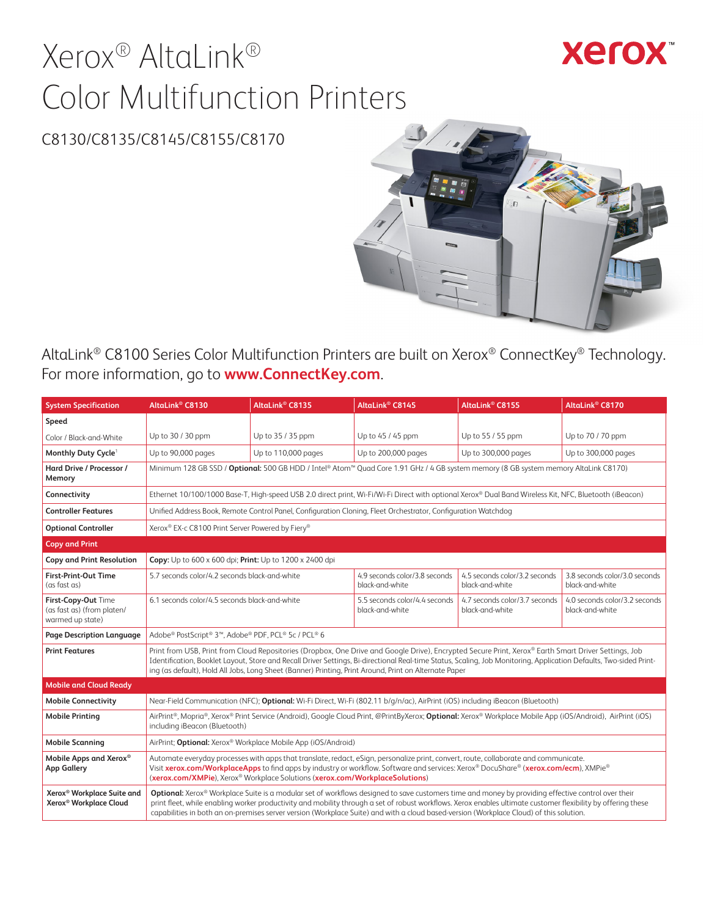# Xerox® AltaLink® Color Multifunction Printers

## **Xerox**

## C8130/C8135/C8145/C8155/C8170



AltaLink® C8100 Series Color Multifunction Printers are built on Xerox® ConnectKey® Technology. For more information, go to **[www.ConnectKey.com](http://www.ConnectKey.com)**.

| <b>System Specification</b>                                                  | AltaLink <sup>®</sup> C8130                                                                                                                                                                                                                                                                                                                                                                                                                                    | AltaLink <sup>®</sup> C8135                                   | AltaLink <sup>®</sup> C8145                                                                                                                                                                                                                                                                                                                                                                                                         | AltaLink® C8155                                  | AltaLink <sup>®</sup> C8170                      |
|------------------------------------------------------------------------------|----------------------------------------------------------------------------------------------------------------------------------------------------------------------------------------------------------------------------------------------------------------------------------------------------------------------------------------------------------------------------------------------------------------------------------------------------------------|---------------------------------------------------------------|-------------------------------------------------------------------------------------------------------------------------------------------------------------------------------------------------------------------------------------------------------------------------------------------------------------------------------------------------------------------------------------------------------------------------------------|--------------------------------------------------|--------------------------------------------------|
| Speed                                                                        |                                                                                                                                                                                                                                                                                                                                                                                                                                                                |                                                               |                                                                                                                                                                                                                                                                                                                                                                                                                                     |                                                  |                                                  |
| Color / Black-and-White                                                      | Up to 30 / 30 ppm                                                                                                                                                                                                                                                                                                                                                                                                                                              | Up to 35 / 35 ppm                                             | Up to 45 / 45 ppm                                                                                                                                                                                                                                                                                                                                                                                                                   | Up to 55 / 55 ppm                                | Up to 70 / 70 ppm                                |
| Monthly Duty Cycle <sup>1</sup>                                              | Up to 90,000 pages                                                                                                                                                                                                                                                                                                                                                                                                                                             | Up to 110,000 pages                                           | Up to 200,000 pages                                                                                                                                                                                                                                                                                                                                                                                                                 | Up to 300,000 pages                              | Up to 300,000 pages                              |
| Hard Drive / Processor /<br>Memory                                           |                                                                                                                                                                                                                                                                                                                                                                                                                                                                |                                                               | Minimum 128 GB SSD / Optional: 500 GB HDD / Intel® Atom™ Quad Core 1.91 GHz / 4 GB system memory (8 GB system memory AltaLink C8170)                                                                                                                                                                                                                                                                                                |                                                  |                                                  |
| Connectivity                                                                 |                                                                                                                                                                                                                                                                                                                                                                                                                                                                |                                                               | Ethernet 10/100/1000 Base-T, High-speed USB 2.0 direct print, Wi-Fi/Wi-Fi Direct with optional Xerox® Dual Band Wireless Kit, NFC, Bluetooth (iBeacon)                                                                                                                                                                                                                                                                              |                                                  |                                                  |
| <b>Controller Features</b>                                                   |                                                                                                                                                                                                                                                                                                                                                                                                                                                                |                                                               | Unified Address Book, Remote Control Panel, Configuration Cloning, Fleet Orchestrator, Configuration Watchdog                                                                                                                                                                                                                                                                                                                       |                                                  |                                                  |
| <b>Optional Controller</b>                                                   | Xerox® EX-c C8100 Print Server Powered by Fiery®                                                                                                                                                                                                                                                                                                                                                                                                               |                                                               |                                                                                                                                                                                                                                                                                                                                                                                                                                     |                                                  |                                                  |
| <b>Copy and Print</b>                                                        |                                                                                                                                                                                                                                                                                                                                                                                                                                                                |                                                               |                                                                                                                                                                                                                                                                                                                                                                                                                                     |                                                  |                                                  |
| Copy and Print Resolution                                                    | Copy: Up to 600 x 600 dpi; Print: Up to 1200 x 2400 dpi                                                                                                                                                                                                                                                                                                                                                                                                        |                                                               |                                                                                                                                                                                                                                                                                                                                                                                                                                     |                                                  |                                                  |
| <b>First-Print-Out Time</b><br>(as fast as)                                  | 5.7 seconds color/4.2 seconds black-and-white                                                                                                                                                                                                                                                                                                                                                                                                                  |                                                               | 4.9 seconds color/3.8 seconds<br>black-and-white                                                                                                                                                                                                                                                                                                                                                                                    | 4.5 seconds color/3.2 seconds<br>black-and-white | 3.8 seconds color/3.0 seconds<br>black-and-white |
| First-Copy-Out Time<br>(as fast as) (from platen/<br>warmed up state)        | 6.1 seconds color/4.5 seconds black-and-white                                                                                                                                                                                                                                                                                                                                                                                                                  |                                                               | 5.5 seconds color/4.4 seconds<br>black-and-white                                                                                                                                                                                                                                                                                                                                                                                    | 4.7 seconds color/3.7 seconds<br>black-and-white | 4.0 seconds color/3.2 seconds<br>black-and-white |
| Page Description Language                                                    | Adobe® PostScript® 3™, Adobe® PDF, PCL® 5c / PCL® 6                                                                                                                                                                                                                                                                                                                                                                                                            |                                                               |                                                                                                                                                                                                                                                                                                                                                                                                                                     |                                                  |                                                  |
| <b>Print Features</b>                                                        |                                                                                                                                                                                                                                                                                                                                                                                                                                                                |                                                               | Print from USB, Print from Cloud Repositories (Dropbox, One Drive and Google Drive), Encrypted Secure Print, Xerox® Earth Smart Driver Settings, Job<br>Identification, Booklet Layout, Store and Recall Driver Settings, Bi-directional Real-time Status, Scaling, Job Monitoring, Application Defaults, Two-sided Print-<br>ing (as default), Hold All Jobs, Long Sheet (Banner) Printing, Print Around, Print on Alternate Paper |                                                  |                                                  |
| <b>Mobile and Cloud Ready</b>                                                |                                                                                                                                                                                                                                                                                                                                                                                                                                                                |                                                               |                                                                                                                                                                                                                                                                                                                                                                                                                                     |                                                  |                                                  |
| <b>Mobile Connectivity</b>                                                   |                                                                                                                                                                                                                                                                                                                                                                                                                                                                |                                                               | Near-Field Communication (NFC); Optional: Wi-Fi Direct, Wi-Fi (802.11 b/q/n/ac), AirPrint (iOS) including iBeacon (Bluetooth)                                                                                                                                                                                                                                                                                                       |                                                  |                                                  |
| <b>Mobile Printing</b>                                                       | including iBeacon (Bluetooth)                                                                                                                                                                                                                                                                                                                                                                                                                                  |                                                               | AirPrint®, Mopria®, Xerox® Print Service (Android), Google Cloud Print, @PrintByXerox; Optional: Xerox® Workplace Mobile App (iOS/Android), AirPrint (iOS)                                                                                                                                                                                                                                                                          |                                                  |                                                  |
| <b>Mobile Scanning</b>                                                       |                                                                                                                                                                                                                                                                                                                                                                                                                                                                | AirPrint; Optional: Xerox® Workplace Mobile App (iOS/Android) |                                                                                                                                                                                                                                                                                                                                                                                                                                     |                                                  |                                                  |
| Mobile Apps and Xerox <sup>®</sup><br><b>App Gallery</b>                     | Automate everyday processes with apps that translate, redact, eSign, personalize print, convert, route, collaborate and communicate.<br>Visit xerox.com/WorkplaceApps to find apps by industry or workflow. Software and services: Xerox® DocuShare® (xerox.com/ecm), XMPie®<br>(xerox.com/XMPie), Xerox® Workplace Solutions (xerox.com/WorkplaceSolutions)                                                                                                   |                                                               |                                                                                                                                                                                                                                                                                                                                                                                                                                     |                                                  |                                                  |
| Xerox <sup>®</sup> Workplace Suite and<br>Xerox <sup>®</sup> Workplace Cloud | Optional: Xerox® Workplace Suite is a modular set of workflows designed to save customers time and money by providing effective control over their<br>print fleet, while enabling worker productivity and mobility through a set of robust workflows. Xerox enables ultimate customer flexibility by offering these<br>capabilities in both an on-premises server version (Workplace Suite) and with a cloud based-version (Workplace Cloud) of this solution. |                                                               |                                                                                                                                                                                                                                                                                                                                                                                                                                     |                                                  |                                                  |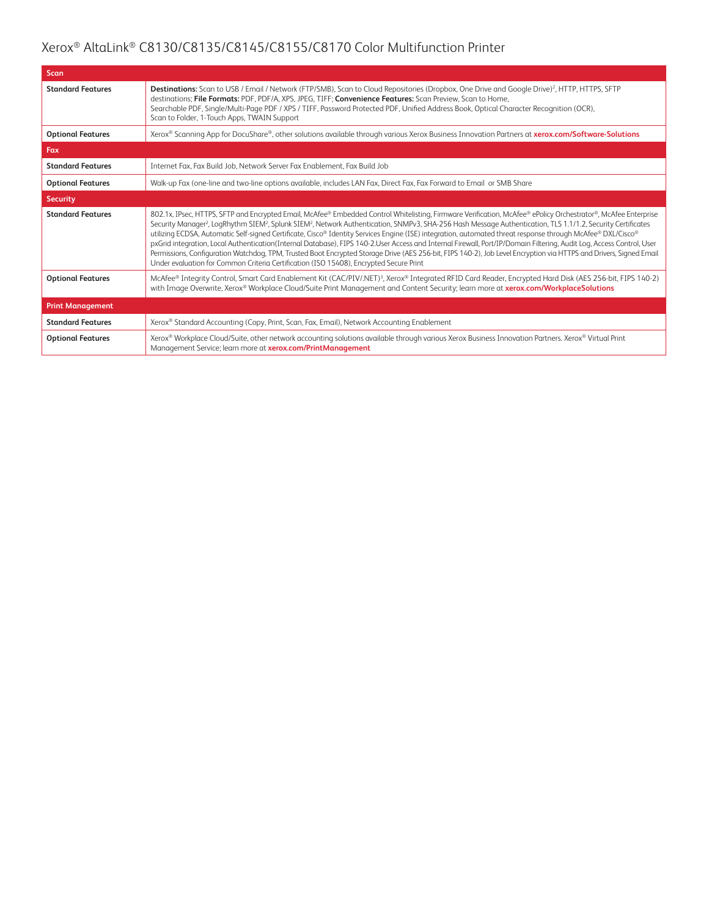| <b>Scan</b>              |                                                                                                                                                                                                                                                                                                                                                                                                                                                                                                                                                                                                                                                                                                                                                                                                                                                                                                                                                                           |
|--------------------------|---------------------------------------------------------------------------------------------------------------------------------------------------------------------------------------------------------------------------------------------------------------------------------------------------------------------------------------------------------------------------------------------------------------------------------------------------------------------------------------------------------------------------------------------------------------------------------------------------------------------------------------------------------------------------------------------------------------------------------------------------------------------------------------------------------------------------------------------------------------------------------------------------------------------------------------------------------------------------|
| <b>Standard Features</b> | Destinations: Scan to USB / Email / Network (FTP/SMB), Scan to Cloud Repositories (Dropbox, One Drive and Google Drive) <sup>2</sup> , HTTP, HTTPS, SFTP<br>destinations; File Formats: PDF, PDF/A, XPS, JPEG, TIFF; Convenience Features: Scan Preview, Scan to Home,<br>Searchable PDF, Single/Multi-Page PDF / XPS / TIFF, Password Protected PDF, Unified Address Book, Optical Character Recognition (OCR),<br>Scan to Folder, 1-Touch Apps, TWAIN Support                                                                                                                                                                                                                                                                                                                                                                                                                                                                                                           |
| <b>Optional Features</b> | Xerox® Scanning App for DocuShare®, other solutions available through various Xerox Business Innovation Partners at xerox.com/Software-Solutions                                                                                                                                                                                                                                                                                                                                                                                                                                                                                                                                                                                                                                                                                                                                                                                                                          |
| Fax                      |                                                                                                                                                                                                                                                                                                                                                                                                                                                                                                                                                                                                                                                                                                                                                                                                                                                                                                                                                                           |
| <b>Standard Features</b> | Internet Fax, Fax Build Job, Network Server Fax Enablement, Fax Build Job                                                                                                                                                                                                                                                                                                                                                                                                                                                                                                                                                                                                                                                                                                                                                                                                                                                                                                 |
| <b>Optional Features</b> | Walk-up Fax (one-line and two-line options available, includes LAN Fax, Direct Fax, Fax Forward to Email or SMB Share                                                                                                                                                                                                                                                                                                                                                                                                                                                                                                                                                                                                                                                                                                                                                                                                                                                     |
| <b>Security</b>          |                                                                                                                                                                                                                                                                                                                                                                                                                                                                                                                                                                                                                                                                                                                                                                                                                                                                                                                                                                           |
| <b>Standard Features</b> | 802.1x, IPsec, HTTPS, SFTP and Encrypted Email, McAfee® Embedded Control Whitelisting, Firmware Verification, McAfee® ePolicy Orchestrator®, McAfee Enterprise<br>Security Manager <sup>2</sup> , LogRhythm SIEM <sup>2</sup> , Splunk SIEM <sup>2</sup> , Network Authentication, SNMPv3, SHA-256 Hash Message Authentication, TLS 1.1/1.2, Security Certificates<br>utilizing ECDSA, Automatic Self-signed Certificate, Cisco® Identity Services Engine (ISE) integration, automated threat response through McAfee® DXL/Cisco®<br>pxGrid integration, Local Authentication(Internal Database), FIPS 140-2.User Access and Internal Firewall, Port/IP/Domain Filtering, Audit Log, Access Control, User<br>Permissions, Configuration Watchdog, TPM, Trusted Boot Encrypted Storage Drive (AES 256-bit, FIPS 140-2), Job Level Encryption via HTTPS and Drivers, Signed Email<br>Under evaluation for Common Criteria Certification (ISO 15408), Encrypted Secure Print |
| <b>Optional Features</b> | McAfee® Integrity Control, Smart Card Enablement Kit (CAC/PIV/.NET) <sup>3</sup> , Xerox® Integrated RFID Card Reader, Encrypted Hard Disk (AES 256-bit, FIPS 140-2)<br>with Image Overwrite, Xerox® Workplace Cloud/Suite Print Management and Content Security; learn more at xerox.com/WorkplaceSolutions                                                                                                                                                                                                                                                                                                                                                                                                                                                                                                                                                                                                                                                              |
| <b>Print Management</b>  |                                                                                                                                                                                                                                                                                                                                                                                                                                                                                                                                                                                                                                                                                                                                                                                                                                                                                                                                                                           |
| <b>Standard Features</b> | Xerox® Standard Accounting (Copy, Print, Scan, Fax, Email), Network Accounting Enablement                                                                                                                                                                                                                                                                                                                                                                                                                                                                                                                                                                                                                                                                                                                                                                                                                                                                                 |
| <b>Optional Features</b> | Xerox® Workplace Cloud/Suite, other network accounting solutions available through various Xerox Business Innovation Partners. Xerox® Virtual Print<br>Management Service; learn more at xerox.com/PrintManagement                                                                                                                                                                                                                                                                                                                                                                                                                                                                                                                                                                                                                                                                                                                                                        |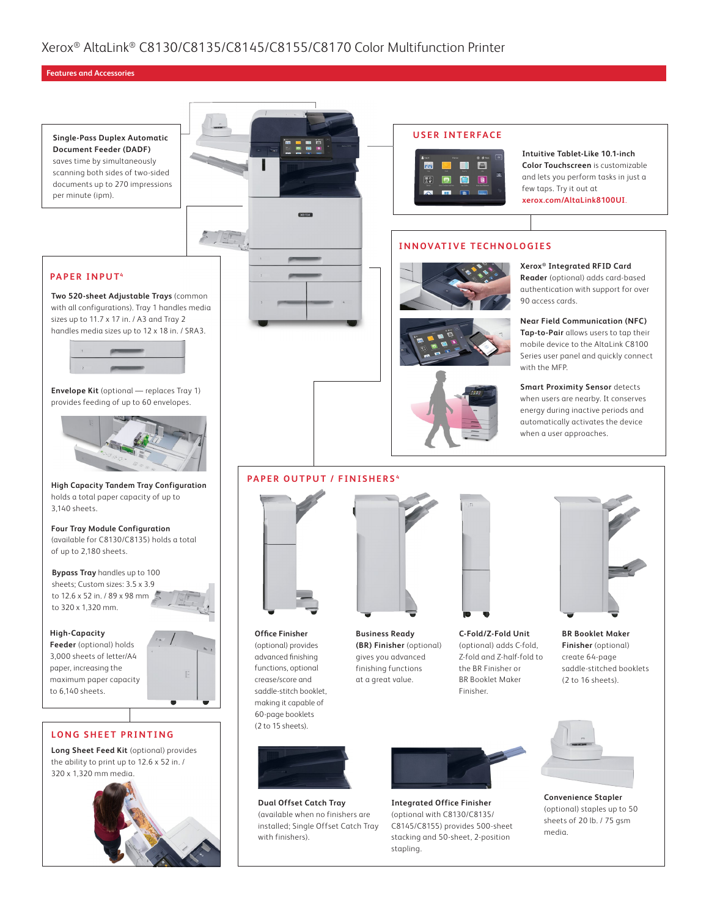#### **Features and Accessories**



**Dual Offset Catch Tray** (available when no finishers are installed; Single Offset Catch Tray with finishers).

**Integrated Office Finisher** (optional with C8130/C8135/ C8145/C8155) provides 500-sheet stacking and 50-sheet, 2-position

(optional) staples up to 50 sheets of 20 lb. / 75 gsm

media.

stapling.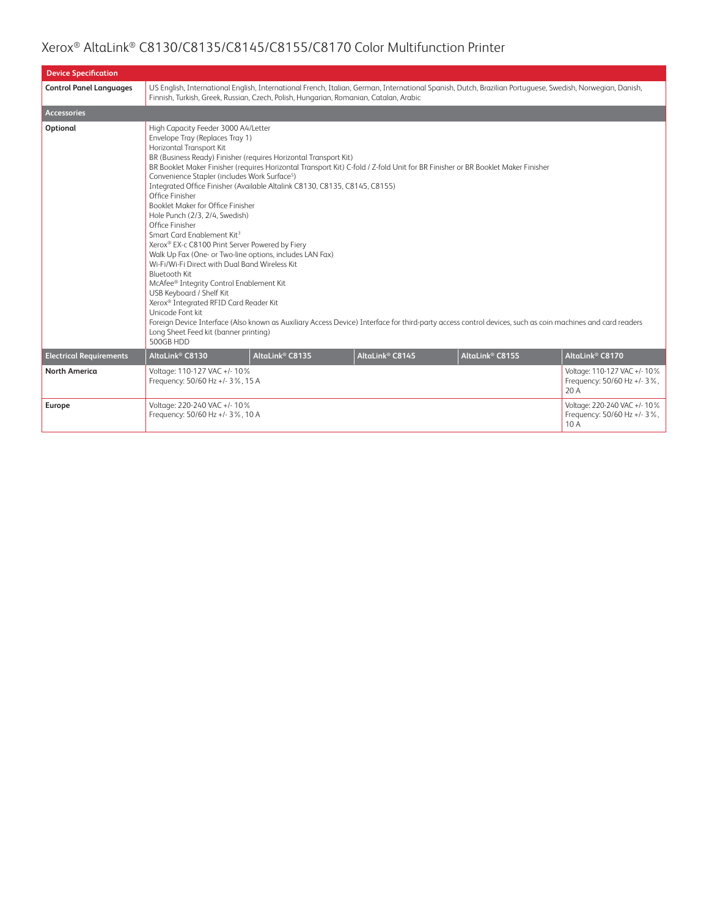| <b>Device Specification</b>    |                                                                                                                                                                                                                                                                                                                                                                                                                                                                                                                                                                                                                                                                                                                                                                                                                                                               |                             |                             |                                                                                                                                                                                                                                                                                              |                                                                     |
|--------------------------------|---------------------------------------------------------------------------------------------------------------------------------------------------------------------------------------------------------------------------------------------------------------------------------------------------------------------------------------------------------------------------------------------------------------------------------------------------------------------------------------------------------------------------------------------------------------------------------------------------------------------------------------------------------------------------------------------------------------------------------------------------------------------------------------------------------------------------------------------------------------|-----------------------------|-----------------------------|----------------------------------------------------------------------------------------------------------------------------------------------------------------------------------------------------------------------------------------------------------------------------------------------|---------------------------------------------------------------------|
| <b>Control Panel Languages</b> | Finnish, Turkish, Greek, Russian, Czech, Polish, Hungarian, Romanian, Catalan, Arabic                                                                                                                                                                                                                                                                                                                                                                                                                                                                                                                                                                                                                                                                                                                                                                         |                             |                             | US English, International English, International French, Italian, German, International Spanish, Dutch, Brazilian Portuguese, Swedish, Norwegian, Danish,                                                                                                                                    |                                                                     |
| <b>Accessories</b>             |                                                                                                                                                                                                                                                                                                                                                                                                                                                                                                                                                                                                                                                                                                                                                                                                                                                               |                             |                             |                                                                                                                                                                                                                                                                                              |                                                                     |
| Optional                       | High Capacity Feeder 3000 A4/Letter<br>Envelope Tray (Replaces Tray 1)<br>Horizontal Transport Kit<br>BR (Business Ready) Finisher (requires Horizontal Transport Kit)<br>Convenience Stapler (includes Work Surface <sup>5</sup> )<br>Integrated Office Finisher (Available Altalink C8130, C8135, C8145, C8155)<br>Office Finisher<br>Booklet Maker for Office Finisher<br>Hole Punch (2/3, 2/4, Swedish)<br>Office Finisher<br>Smart Card Enablement Kit <sup>3</sup><br>Xerox® EX-c C8100 Print Server Powered by Fiery<br>Walk Up Fax (One- or Two-line options, includes LAN Fax)<br>Wi-Fi/Wi-Fi Direct with Dual Band Wireless Kit<br><b>Bluetooth Kit</b><br>McAfee® Integrity Control Enablement Kit<br>USB Keyboard / Shelf Kit<br>Xerox® Integrated RFID Card Reader Kit<br>Unicode Font kit<br>Long Sheet Feed kit (banner printing)<br>500GB HDD |                             |                             | BR Booklet Maker Finisher (requires Horizontal Transport Kit) C-fold / Z-fold Unit for BR Finisher or BR Booklet Maker Finisher<br>Foreign Device Interface (Also known as Auxiliary Access Device) Interface for third-party access control devices, such as coin machines and card readers |                                                                     |
| <b>Electrical Requirements</b> | AltaLink <sup>®</sup> C8130                                                                                                                                                                                                                                                                                                                                                                                                                                                                                                                                                                                                                                                                                                                                                                                                                                   | AltaLink <sup>®</sup> C8135 | AltaLink <sup>®</sup> C8145 | AltaLink <sup>®</sup> C8155                                                                                                                                                                                                                                                                  | AltaLink® C8170                                                     |
| <b>North America</b>           | Voltage: 110-127 VAC +/- 10%<br>Frequency: 50/60 Hz +/- 3%, 15 A                                                                                                                                                                                                                                                                                                                                                                                                                                                                                                                                                                                                                                                                                                                                                                                              |                             |                             |                                                                                                                                                                                                                                                                                              | Voltage: 110-127 VAC +/- 10%<br>Frequency: 50/60 Hz +/- 3%,<br>20 A |
| Europe                         | Voltage: 220-240 VAC +/- 10%<br>Frequency: 50/60 Hz +/- 3%, 10 A                                                                                                                                                                                                                                                                                                                                                                                                                                                                                                                                                                                                                                                                                                                                                                                              |                             |                             |                                                                                                                                                                                                                                                                                              | Voltage: 220-240 VAC +/- 10%<br>Frequency: 50/60 Hz +/- 3%,<br>10 A |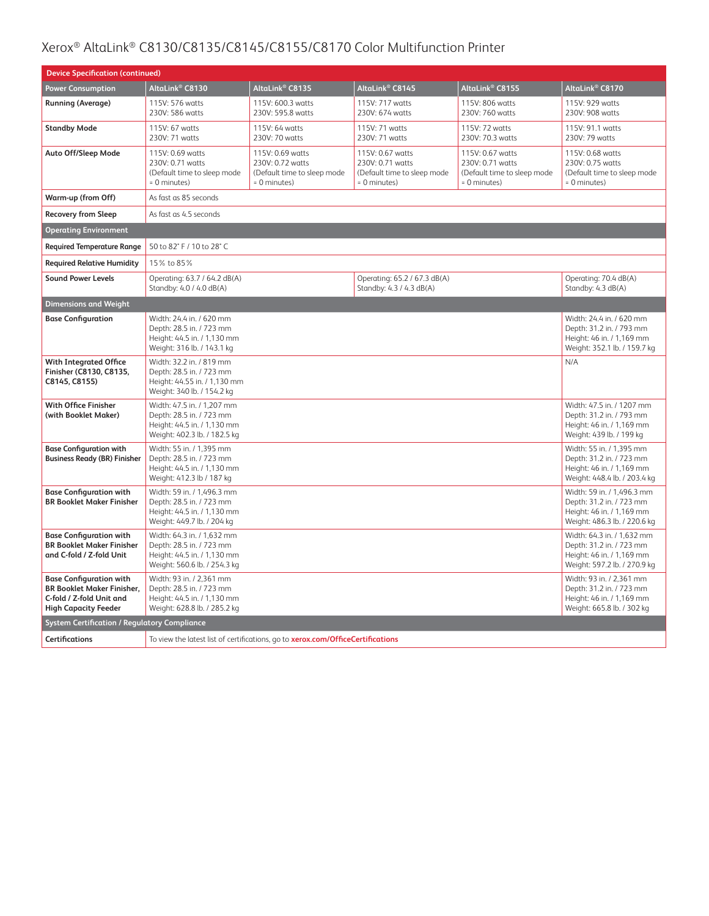| <b>Device Specification (continued)</b>                                                                                        |                                                                                                                       |                                                                                       |                                                                                       |                                                                                     |                                                                                                                     |  |
|--------------------------------------------------------------------------------------------------------------------------------|-----------------------------------------------------------------------------------------------------------------------|---------------------------------------------------------------------------------------|---------------------------------------------------------------------------------------|-------------------------------------------------------------------------------------|---------------------------------------------------------------------------------------------------------------------|--|
| <b>Power Consumption</b>                                                                                                       | AltaLink® C8130                                                                                                       | AltaLink® C8135                                                                       | AltaLink <sup>®</sup> C8145                                                           | AltaLink <sup>®</sup> C8155                                                         | AltaLink® C8170                                                                                                     |  |
| <b>Running (Average)</b>                                                                                                       | 115V: 576 watts<br>230V: 586 watts                                                                                    | 115V: 600.3 watts<br>230V: 595.8 watts                                                | 115V: 717 watts<br>230V: 674 watts                                                    | 115V: 806 watts<br>230V: 760 watts                                                  | 115V: 929 watts<br>230V: 908 watts                                                                                  |  |
| <b>Standby Mode</b>                                                                                                            | 115V: 67 watts<br>230V: 71 watts                                                                                      | 115V: 64 watts<br>230V: 70 watts                                                      | 115V: 71 watts<br>230V: 71 watts                                                      | 115V: 72 watts<br>230V: 70.3 watts                                                  | 115V: 91.1 watts<br>230V: 79 watts                                                                                  |  |
| Auto Off/Sleep Mode                                                                                                            | 115V: 0.69 watts<br>230V: 0.71 watts<br>(Default time to sleep mode<br>$= 0$ minutes)                                 | 115V: 0.69 watts<br>230V: 0.72 watts<br>(Default time to sleep mode<br>$= 0$ minutes) | 115V: 0.67 watts<br>230V: 0.71 watts<br>(Default time to sleep mode<br>$= 0$ minutes) | 115V: 0.67 watts<br>230V: 0.71 watts<br>(Default time to sleep mode<br>= 0 minutes) | 115V: 0.68 watts<br>230V: 0.75 watts<br>(Default time to sleep mode<br>= 0 minutes)                                 |  |
| Warm-up (from Off)                                                                                                             | As fast as 85 seconds                                                                                                 |                                                                                       |                                                                                       |                                                                                     |                                                                                                                     |  |
| <b>Recovery from Sleep</b>                                                                                                     | As fast as 4.5 seconds                                                                                                |                                                                                       |                                                                                       |                                                                                     |                                                                                                                     |  |
| <b>Operating Environment</b>                                                                                                   |                                                                                                                       |                                                                                       |                                                                                       |                                                                                     |                                                                                                                     |  |
| <b>Required Temperature Range</b>                                                                                              | 50 to 82° F / 10 to 28° C                                                                                             |                                                                                       |                                                                                       |                                                                                     |                                                                                                                     |  |
| <b>Required Relative Humidity</b>                                                                                              | 15% to 85%                                                                                                            |                                                                                       |                                                                                       |                                                                                     |                                                                                                                     |  |
| <b>Sound Power Levels</b>                                                                                                      | Operating: 63.7 / 64.2 dB(A)<br>Standby: 4.0 / 4.0 dB(A)                                                              |                                                                                       | Operating: 65.2 / 67.3 dB(A)<br>Standby: 4.3 / 4.3 dB(A)                              |                                                                                     | Operating: 70.4 dB(A)<br>Standby: 4.3 dB(A)                                                                         |  |
| <b>Dimensions and Weight</b>                                                                                                   |                                                                                                                       |                                                                                       |                                                                                       |                                                                                     |                                                                                                                     |  |
| <b>Base Configuration</b>                                                                                                      | Width: 24.4 in. / 620 mm<br>Depth: 28.5 in. / 723 mm<br>Height: 44.5 in. / 1,130 mm<br>Weight: 316 lb. / 143.1 kg     |                                                                                       |                                                                                       |                                                                                     | Width: 24.4 in. / 620 mm<br>Depth: 31.2 in. / 793 mm<br>Height: 46 in. / 1,169 mm<br>Weight: 352.1 lb. / 159.7 kg   |  |
| <b>With Integrated Office</b><br>Finisher (C8130, C8135,<br>C8145, C8155)                                                      | Width: 32.2 in. / 819 mm<br>Depth: 28.5 in. / 723 mm<br>Height: 44.55 in. / 1,130 mm<br>Weight: 340 lb. / 154.2 kg    |                                                                                       |                                                                                       |                                                                                     | N/A                                                                                                                 |  |
| <b>With Office Finisher</b><br>(with Booklet Maker)                                                                            | Width: 47.5 in. / 1,207 mm<br>Depth: 28.5 in. / 723 mm<br>Height: 44.5 in. / 1,130 mm<br>Weight: 402.3 lb. / 182.5 kg |                                                                                       |                                                                                       |                                                                                     | Width: 47.5 in. / 1207 mm<br>Depth: 31.2 in. / 793 mm<br>Height: 46 in. / 1,169 mm<br>Weight: 439 lb. / 199 kg      |  |
| <b>Base Configuration with</b><br><b>Business Ready (BR) Finisher</b>                                                          | Width: 55 in. / 1,395 mm<br>Depth: 28.5 in. / 723 mm<br>Height: 44.5 in. / 1,130 mm<br>Weight: 412.3 lb / 187 kg      |                                                                                       |                                                                                       |                                                                                     | Width: 55 in. / 1,395 mm<br>Depth: 31.2 in. / 723 mm<br>Height: 46 in. / 1,169 mm<br>Weight: 448.4 lb. / 203.4 kg   |  |
| <b>Base Configuration with</b><br><b>BR Booklet Maker Finisher</b>                                                             | Width: 59 in. / 1,496.3 mm<br>Depth: 28.5 in. / 723 mm<br>Height: 44.5 in. / 1,130 mm<br>Weight: 449.7 lb. / 204 kg   |                                                                                       |                                                                                       |                                                                                     | Width: 59 in. / 1,496.3 mm<br>Depth: 31.2 in. / 723 mm<br>Height: 46 in. / 1,169 mm<br>Weight: 486.3 lb. / 220.6 kg |  |
| <b>Base Configuration with</b><br><b>BR Booklet Maker Finisher</b><br>and C-fold / Z-fold Unit                                 | Width: 64.3 in. / 1.632 mm<br>Depth: 28.5 in. / 723 mm<br>Height: 44.5 in. / 1,130 mm<br>Weight: 560.6 lb. / 254.3 kg |                                                                                       |                                                                                       |                                                                                     | Width: 64.3 in. / 1,632 mm<br>Depth: 31.2 in. / 723 mm<br>Height: 46 in. / 1,169 mm<br>Weight: 597.2 lb. / 270.9 kg |  |
| <b>Base Configuration with</b><br><b>BR Booklet Maker Finisher.</b><br>C-fold / Z-fold Unit and<br><b>High Capacity Feeder</b> | Width: 93 in. / 2,361 mm<br>Depth: 28.5 in. / 723 mm<br>Height: 44.5 in. / 1,130 mm<br>Weight: 628.8 lb. / 285.2 kg   |                                                                                       |                                                                                       |                                                                                     | Width: 93 in. / 2,361 mm<br>Depth: 31.2 in. / 723 mm<br>Height: 46 in. / 1,169 mm<br>Weight: 665.8 lb. / 302 kg     |  |
| <b>System Certification / Regulatory Compliance</b>                                                                            |                                                                                                                       |                                                                                       |                                                                                       |                                                                                     |                                                                                                                     |  |
| <b>Certifications</b><br>To view the latest list of certifications, go to xerox.com/OfficeCertifications                       |                                                                                                                       |                                                                                       |                                                                                       |                                                                                     |                                                                                                                     |  |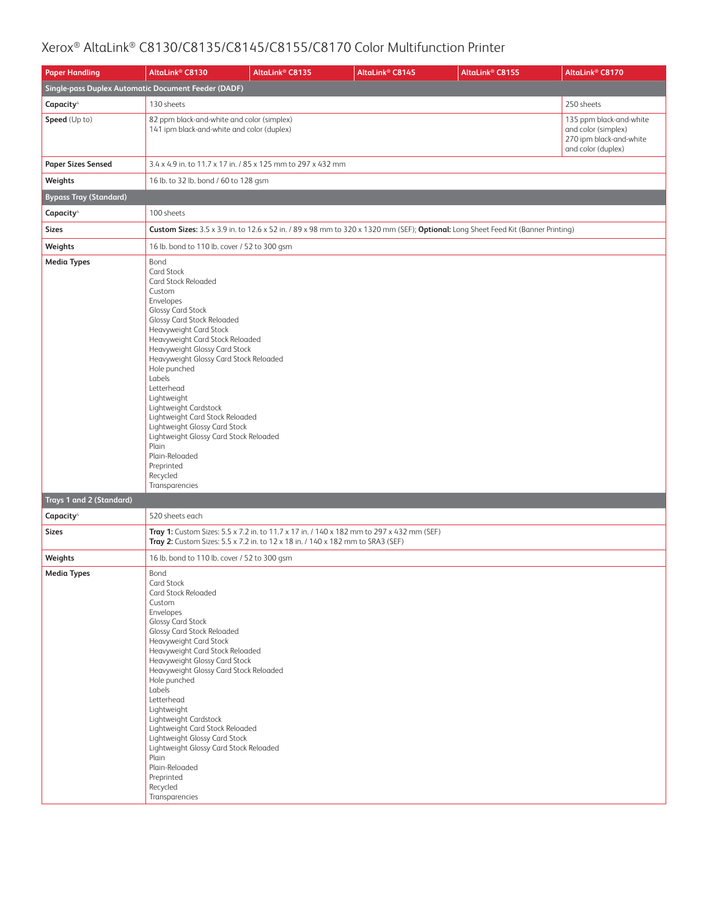| <b>Paper Handling</b>                               | AltaLink <sup>®</sup> C8130                                                                                                                                                                                                                                                                                                                                                                                                                                                                                                                    | AltaLink <sup>®</sup> C8135 | AltaLink® C8145 | AltaLink <sup>®</sup> C8155                                                                                                       | AltaLink <sup>®</sup> C8170                                                                     |
|-----------------------------------------------------|------------------------------------------------------------------------------------------------------------------------------------------------------------------------------------------------------------------------------------------------------------------------------------------------------------------------------------------------------------------------------------------------------------------------------------------------------------------------------------------------------------------------------------------------|-----------------------------|-----------------|-----------------------------------------------------------------------------------------------------------------------------------|-------------------------------------------------------------------------------------------------|
| Single-pass Duplex Automatic Document Feeder (DADF) |                                                                                                                                                                                                                                                                                                                                                                                                                                                                                                                                                |                             |                 |                                                                                                                                   |                                                                                                 |
| Capacity <sup>4</sup>                               | 130 sheets                                                                                                                                                                                                                                                                                                                                                                                                                                                                                                                                     |                             |                 |                                                                                                                                   | 250 sheets                                                                                      |
| Speed (Up to)                                       | 82 ppm black-and-white and color (simplex)<br>141 ipm black-and-white and color (duplex)                                                                                                                                                                                                                                                                                                                                                                                                                                                       |                             |                 |                                                                                                                                   | 135 ppm black-and-white<br>and color (simplex)<br>270 ipm black-and-white<br>and color (duplex) |
| <b>Paper Sizes Sensed</b>                           | 3.4 x 4.9 in. to 11.7 x 17 in. / 85 x 125 mm to 297 x 432 mm                                                                                                                                                                                                                                                                                                                                                                                                                                                                                   |                             |                 |                                                                                                                                   |                                                                                                 |
| Weights                                             | 16 lb. to 32 lb. bond / 60 to 128 gsm                                                                                                                                                                                                                                                                                                                                                                                                                                                                                                          |                             |                 |                                                                                                                                   |                                                                                                 |
| <b>Bypass Tray (Standard)</b>                       |                                                                                                                                                                                                                                                                                                                                                                                                                                                                                                                                                |                             |                 |                                                                                                                                   |                                                                                                 |
| Capacity <sup>4</sup>                               | 100 sheets                                                                                                                                                                                                                                                                                                                                                                                                                                                                                                                                     |                             |                 |                                                                                                                                   |                                                                                                 |
| <b>Sizes</b>                                        |                                                                                                                                                                                                                                                                                                                                                                                                                                                                                                                                                |                             |                 | Custom Sizes: 3.5 x 3.9 in. to 12.6 x 52 in. / 89 x 98 mm to 320 x 1320 mm (SEF); Optional: Long Sheet Feed Kit (Banner Printing) |                                                                                                 |
| Weights                                             | 16 lb. bond to 110 lb. cover / 52 to 300 gsm                                                                                                                                                                                                                                                                                                                                                                                                                                                                                                   |                             |                 |                                                                                                                                   |                                                                                                 |
| <b>Media Types</b>                                  | Bond<br>Card Stock<br>Card Stock Reloaded<br>Custom<br>Envelopes<br><b>Glossy Card Stock</b><br><b>Glossy Card Stock Reloaded</b><br>Heavyweight Card Stock<br>Heavyweight Card Stock Reloaded<br>Heavyweight Glossy Card Stock<br>Heavyweight Glossy Card Stock Reloaded<br>Hole punched<br>Labels<br>Letterhead<br>Lightweight<br>Lightweight Cardstock<br>Lightweight Card Stock Reloaded<br>Lightweight Glossy Card Stock<br>Lightweight Glossy Card Stock Reloaded<br>Plain<br>Plain-Reloaded<br>Preprinted<br>Recycled<br>Transparencies |                             |                 |                                                                                                                                   |                                                                                                 |
| Trays 1 and 2 (Standard)                            |                                                                                                                                                                                                                                                                                                                                                                                                                                                                                                                                                |                             |                 |                                                                                                                                   |                                                                                                 |
| Capacity <sup>4</sup>                               | 520 sheets each                                                                                                                                                                                                                                                                                                                                                                                                                                                                                                                                |                             |                 |                                                                                                                                   |                                                                                                 |
| <b>Sizes</b>                                        | Tray 1: Custom Sizes: 5.5 x 7.2 in. to 11.7 x 17 in. / 140 x 182 mm to 297 x 432 mm (SEF)<br>Tray 2: Custom Sizes: 5.5 x 7.2 in. to 12 x 18 in. / 140 x 182 mm to SRA3 (SEF)                                                                                                                                                                                                                                                                                                                                                                   |                             |                 |                                                                                                                                   |                                                                                                 |
| Weights                                             | 16 lb. bond to 110 lb. cover / 52 to 300 gsm                                                                                                                                                                                                                                                                                                                                                                                                                                                                                                   |                             |                 |                                                                                                                                   |                                                                                                 |
| <b>Media Types</b>                                  | Bond<br>Card Stock<br>Card Stock Reloaded<br>Custom<br>Envelopes<br>Glossy Card Stock<br><b>Glossy Card Stock Reloaded</b><br>Heavyweight Card Stock<br>Heavyweight Card Stock Reloaded<br>Heavyweight Glossy Card Stock<br>Heavyweight Glossy Card Stock Reloaded<br>Hole punched<br>Labels<br>Letterhead<br>Lightweight<br>Lightweight Cardstock<br>Lightweight Card Stock Reloaded<br>Lightweight Glossy Card Stock<br>Lightweight Glossy Card Stock Reloaded<br>Plain<br>Plain-Reloaded<br>Preprinted<br>Recycled<br>Transparencies        |                             |                 |                                                                                                                                   |                                                                                                 |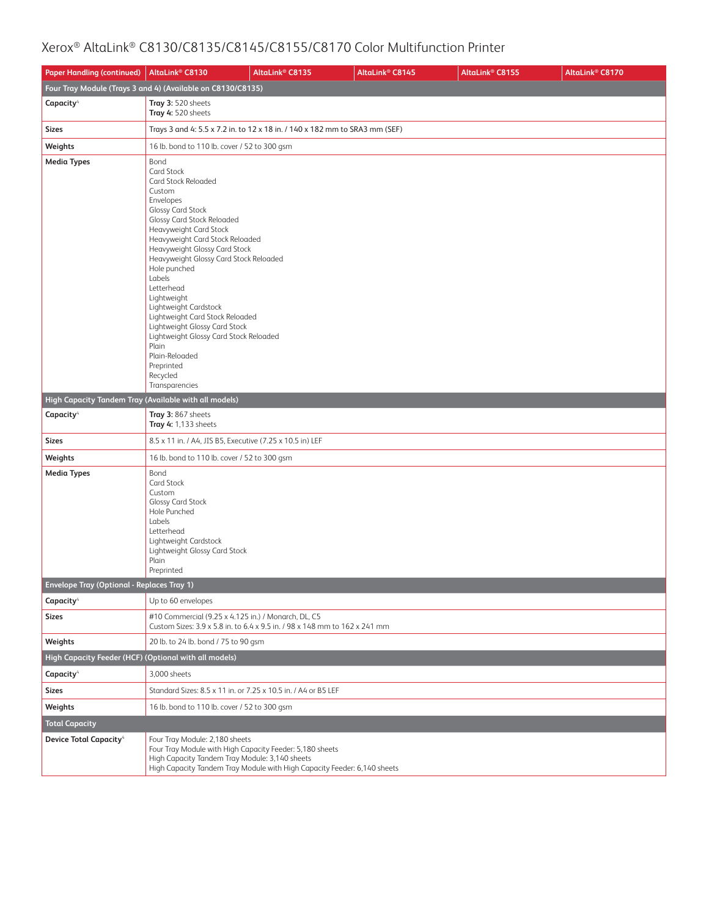| <b>Paper Handling (continued)</b>                     | AltaLink <sup>®</sup> C8130                                                                                                                                                                                                                                                                                                                                                                                                                                                                                                                           | AltaLink <sup>®</sup> C8135                                                 | AltaLink <sup>®</sup> C8145 | AltaLink® C8155 | AltaLink® C8170 |
|-------------------------------------------------------|-------------------------------------------------------------------------------------------------------------------------------------------------------------------------------------------------------------------------------------------------------------------------------------------------------------------------------------------------------------------------------------------------------------------------------------------------------------------------------------------------------------------------------------------------------|-----------------------------------------------------------------------------|-----------------------------|-----------------|-----------------|
|                                                       | Four Tray Module (Trays 3 and 4) (Available on C8130/C8135)                                                                                                                                                                                                                                                                                                                                                                                                                                                                                           |                                                                             |                             |                 |                 |
| Capacity <sup>4</sup>                                 | Tray 3: 520 sheets<br>Tray 4: 520 sheets                                                                                                                                                                                                                                                                                                                                                                                                                                                                                                              |                                                                             |                             |                 |                 |
| <b>Sizes</b>                                          |                                                                                                                                                                                                                                                                                                                                                                                                                                                                                                                                                       | Trays 3 and 4: 5.5 x 7.2 in. to 12 x 18 in. / 140 x 182 mm to SRA3 mm (SEF) |                             |                 |                 |
| Weights                                               | 16 lb. bond to 110 lb. cover / 52 to 300 gsm                                                                                                                                                                                                                                                                                                                                                                                                                                                                                                          |                                                                             |                             |                 |                 |
| <b>Media Types</b>                                    | Bond<br>Card Stock<br>Card Stock Reloaded<br>Custom<br>Envelopes<br><b>Glossy Card Stock</b><br><b>Glossy Card Stock Reloaded</b><br><b>Heavyweight Card Stock</b><br>Heavyweight Card Stock Reloaded<br>Heavyweight Glossy Card Stock<br>Heavyweight Glossy Card Stock Reloaded<br>Hole punched<br>Labels<br>Letterhead<br>Lightweight<br>Lightweight Cardstock<br>Lightweight Card Stock Reloaded<br>Lightweight Glossy Card Stock<br>Lightweight Glossy Card Stock Reloaded<br>Plain<br>Plain-Reloaded<br>Preprinted<br>Recycled<br>Transparencies |                                                                             |                             |                 |                 |
| High Capacity Tandem Tray (Available with all models) |                                                                                                                                                                                                                                                                                                                                                                                                                                                                                                                                                       |                                                                             |                             |                 |                 |
| Capacity <sup>4</sup>                                 | Tray 3: 867 sheets<br>Tray 4: 1,133 sheets                                                                                                                                                                                                                                                                                                                                                                                                                                                                                                            |                                                                             |                             |                 |                 |
| <b>Sizes</b>                                          | 8.5 x 11 in. / A4, JIS B5, Executive (7.25 x 10.5 in) LEF                                                                                                                                                                                                                                                                                                                                                                                                                                                                                             |                                                                             |                             |                 |                 |
| Weights                                               | 16 lb. bond to 110 lb. cover / 52 to 300 gsm                                                                                                                                                                                                                                                                                                                                                                                                                                                                                                          |                                                                             |                             |                 |                 |
| <b>Media Types</b>                                    | Bond<br>Card Stock<br>Custom<br>Glossy Card Stock<br>Hole Punched<br>Labels<br>Letterhead<br>Lightweight Cardstock<br>Lightweight Glossy Card Stock<br>Plain<br>Preprinted                                                                                                                                                                                                                                                                                                                                                                            |                                                                             |                             |                 |                 |
| <b>Envelope Tray (Optional - Replaces Tray 1)</b>     |                                                                                                                                                                                                                                                                                                                                                                                                                                                                                                                                                       |                                                                             |                             |                 |                 |
| Capacity <sup>4</sup>                                 | Up to 60 envelopes                                                                                                                                                                                                                                                                                                                                                                                                                                                                                                                                    |                                                                             |                             |                 |                 |
| <b>Sizes</b>                                          | #10 Commercial (9.25 x 4.125 in.) / Monarch, DL, C5                                                                                                                                                                                                                                                                                                                                                                                                                                                                                                   | Custom Sizes: 3.9 x 5.8 in. to 6.4 x 9.5 in. / 98 x 148 mm to 162 x 241 mm  |                             |                 |                 |
| Weights                                               | 20 lb. to 24 lb. bond / 75 to 90 gsm                                                                                                                                                                                                                                                                                                                                                                                                                                                                                                                  |                                                                             |                             |                 |                 |
| High Capacity Feeder (HCF) (Optional with all models) |                                                                                                                                                                                                                                                                                                                                                                                                                                                                                                                                                       |                                                                             |                             |                 |                 |
| Capacity <sup>4</sup>                                 | 3,000 sheets                                                                                                                                                                                                                                                                                                                                                                                                                                                                                                                                          |                                                                             |                             |                 |                 |
| <b>Sizes</b>                                          | Standard Sizes: 8.5 x 11 in. or 7.25 x 10.5 in. / A4 or B5 LEF                                                                                                                                                                                                                                                                                                                                                                                                                                                                                        |                                                                             |                             |                 |                 |
| Weights                                               | 16 lb. bond to 110 lb. cover / 52 to 300 gsm                                                                                                                                                                                                                                                                                                                                                                                                                                                                                                          |                                                                             |                             |                 |                 |
| <b>Total Capacity</b>                                 |                                                                                                                                                                                                                                                                                                                                                                                                                                                                                                                                                       |                                                                             |                             |                 |                 |
| <b>Device Total Capacity</b> <sup>4</sup>             | Four Tray Module: 2,180 sheets<br>Four Tray Module with High Capacity Feeder: 5,180 sheets<br>High Capacity Tandem Tray Module: 3,140 sheets                                                                                                                                                                                                                                                                                                                                                                                                          | High Capacity Tandem Tray Module with High Capacity Feeder: 6,140 sheets    |                             |                 |                 |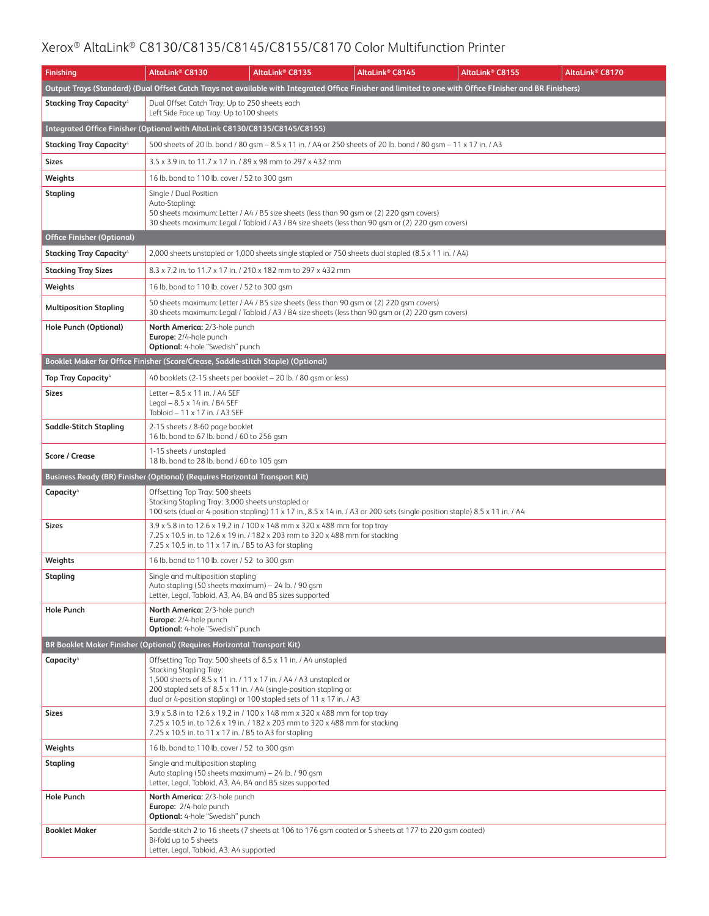| <b>Finishing</b>                                                            | AltaLink® C8130                                                                                                                                                                                                                                                                                              | AltaLink <sup>®</sup> C8135 | AltaLink <sup>®</sup> C8145                                                                                                                                                                   | AltaLink® C8155                                                                                                                                          | AltaLink® C8170 |
|-----------------------------------------------------------------------------|--------------------------------------------------------------------------------------------------------------------------------------------------------------------------------------------------------------------------------------------------------------------------------------------------------------|-----------------------------|-----------------------------------------------------------------------------------------------------------------------------------------------------------------------------------------------|----------------------------------------------------------------------------------------------------------------------------------------------------------|-----------------|
|                                                                             |                                                                                                                                                                                                                                                                                                              |                             |                                                                                                                                                                                               | Output Trays (Standard) (Dual Offset Catch Trays not available with Integrated Office Finisher and limited to one with Office FInisher and BR Finishers) |                 |
| <b>Stacking Tray Capacity</b> <sup>4</sup>                                  | Dual Offset Catch Tray: Up to 250 sheets each<br>Left Side Face up Tray: Up to 100 sheets                                                                                                                                                                                                                    |                             |                                                                                                                                                                                               |                                                                                                                                                          |                 |
| Integrated Office Finisher (Optional with AltaLink C8130/C8135/C8145/C8155) |                                                                                                                                                                                                                                                                                                              |                             |                                                                                                                                                                                               |                                                                                                                                                          |                 |
| <b>Stacking Tray Capacity</b>                                               | 500 sheets of 20 lb. bond / 80 gsm – 8.5 x 11 in. / A4 or 250 sheets of 20 lb. bond / 80 gsm – 11 x 17 in. / A3                                                                                                                                                                                              |                             |                                                                                                                                                                                               |                                                                                                                                                          |                 |
| <b>Sizes</b>                                                                | 3.5 x 3.9 in. to 11.7 x 17 in. / 89 x 98 mm to 297 x 432 mm                                                                                                                                                                                                                                                  |                             |                                                                                                                                                                                               |                                                                                                                                                          |                 |
| Weights                                                                     | 16 lb. bond to 110 lb. cover / 52 to 300 gsm                                                                                                                                                                                                                                                                 |                             |                                                                                                                                                                                               |                                                                                                                                                          |                 |
| Stapling                                                                    | Single / Dual Position<br>Auto-Stapling:<br>50 sheets maximum: Letter / A4 / B5 size sheets (less than 90 gsm or (2) 220 gsm covers)<br>30 sheets maximum: Legal / Tabloid / A3 / B4 size sheets (less than 90 qsm or (2) 220 qsm covers)                                                                    |                             |                                                                                                                                                                                               |                                                                                                                                                          |                 |
| <b>Office Finisher (Optional)</b>                                           |                                                                                                                                                                                                                                                                                                              |                             |                                                                                                                                                                                               |                                                                                                                                                          |                 |
| <b>Stacking Tray Capacity</b> <sup>4</sup>                                  | 2,000 sheets unstapled or 1,000 sheets single stapled or 750 sheets dual stapled (8.5 x 11 in. / A4)                                                                                                                                                                                                         |                             |                                                                                                                                                                                               |                                                                                                                                                          |                 |
| <b>Stacking Tray Sizes</b>                                                  | 8.3 x 7.2 in. to 11.7 x 17 in. / 210 x 182 mm to 297 x 432 mm                                                                                                                                                                                                                                                |                             |                                                                                                                                                                                               |                                                                                                                                                          |                 |
| Weights                                                                     | 16 lb. bond to 110 lb. cover / 52 to 300 gsm                                                                                                                                                                                                                                                                 |                             |                                                                                                                                                                                               |                                                                                                                                                          |                 |
| <b>Multiposition Stapling</b>                                               |                                                                                                                                                                                                                                                                                                              |                             | 50 sheets maximum: Letter / A4 / B5 size sheets (less than 90 qsm or (2) 220 qsm covers)<br>30 sheets maximum: Legal / Tabloid / A3 / B4 size sheets (less than 90 gsm or (2) 220 gsm covers) |                                                                                                                                                          |                 |
| Hole Punch (Optional)                                                       | North America: 2/3-hole punch<br>Europe: 2/4-hole punch<br>Optional: 4-hole "Swedish" punch                                                                                                                                                                                                                  |                             |                                                                                                                                                                                               |                                                                                                                                                          |                 |
|                                                                             | Booklet Maker for Office Finisher (Score/Crease, Saddle-stitch Staple) (Optional)                                                                                                                                                                                                                            |                             |                                                                                                                                                                                               |                                                                                                                                                          |                 |
| <b>Top Tray Capacity<sup>4</sup></b>                                        | 40 booklets (2-15 sheets per booklet - 20 lb. / 80 gsm or less)                                                                                                                                                                                                                                              |                             |                                                                                                                                                                                               |                                                                                                                                                          |                 |
| <b>Sizes</b>                                                                | Letter - 8.5 x 11 in. / A4 SEF<br>Legal - 8.5 x 14 in. / B4 SEF<br>Tabloid - 11 x 17 in. / A3 SEF                                                                                                                                                                                                            |                             |                                                                                                                                                                                               |                                                                                                                                                          |                 |
| Saddle-Stitch Stapling                                                      | 2-15 sheets / 8-60 page booklet<br>16 lb. bond to 67 lb. bond / 60 to 256 gsm                                                                                                                                                                                                                                |                             |                                                                                                                                                                                               |                                                                                                                                                          |                 |
| <b>Score / Crease</b>                                                       | 1-15 sheets / unstapled<br>18 lb. bond to 28 lb. bond / 60 to 105 gsm                                                                                                                                                                                                                                        |                             |                                                                                                                                                                                               |                                                                                                                                                          |                 |
|                                                                             | Business Ready (BR) Finisher (Optional) (Requires Horizontal Transport Kit)                                                                                                                                                                                                                                  |                             |                                                                                                                                                                                               |                                                                                                                                                          |                 |
| Capacity <sup>4</sup>                                                       | Offsetting Top Tray: 500 sheets<br>Stacking Stapling Tray: 3,000 sheets unstapled or<br>100 sets (dual or 4-position stapling) 11 x 17 in., 8.5 x 14 in. / A3 or 200 sets (single-position staple) 8.5 x 11 in. / A4                                                                                         |                             |                                                                                                                                                                                               |                                                                                                                                                          |                 |
| <b>Sizes</b>                                                                | 3.9 x 5.8 in to 12.6 x 19.2 in / 100 x 148 mm x 320 x 488 mm for top tray<br>7.25 x 10.5 in. to 12.6 x 19 in. / 182 x 203 mm to 320 x 488 mm for stacking<br>7.25 x 10.5 in. to 11 x 17 in. / B5 to A3 for stapling                                                                                          |                             |                                                                                                                                                                                               |                                                                                                                                                          |                 |
| Weights                                                                     | 16 lb. bond to 110 lb. cover / 52 to 300 gsm                                                                                                                                                                                                                                                                 |                             |                                                                                                                                                                                               |                                                                                                                                                          |                 |
| <b>Stapling</b>                                                             | Single and multiposition stapling<br>Auto stapling (50 sheets maximum) - 24 lb. / 90 gsm<br>Letter, Legal, Tabloid, A3, A4, B4 and B5 sizes supported                                                                                                                                                        |                             |                                                                                                                                                                                               |                                                                                                                                                          |                 |
| <b>Hole Punch</b>                                                           | North America: 2/3-hole punch<br>Europe: 2/4-hole punch<br>Optional: 4-hole "Swedish" punch                                                                                                                                                                                                                  |                             |                                                                                                                                                                                               |                                                                                                                                                          |                 |
|                                                                             | BR Booklet Maker Finisher (Optional) (Requires Horizontal Transport Kit)                                                                                                                                                                                                                                     |                             |                                                                                                                                                                                               |                                                                                                                                                          |                 |
| Capacity <sup>4</sup>                                                       | Offsetting Top Tray: 500 sheets of 8.5 x 11 in. / A4 unstapled<br>Stacking Stapling Tray:<br>1,500 sheets of 8.5 x 11 in. / 11 x 17 in. / A4 / A3 unstapled or<br>200 stapled sets of 8.5 x 11 in. / A4 (single-position stapling or<br>dual or 4-position stapling) or 100 stapled sets of 11 x 17 in. / A3 |                             |                                                                                                                                                                                               |                                                                                                                                                          |                 |
| Sizes                                                                       | 3.9 x 5.8 in to 12.6 x 19.2 in / 100 x 148 mm x 320 x 488 mm for top tray<br>7.25 x 10.5 in. to 12.6 x 19 in. / 182 x 203 mm to 320 x 488 mm for stacking<br>7.25 x 10.5 in. to 11 x 17 in. / B5 to A3 for stapling                                                                                          |                             |                                                                                                                                                                                               |                                                                                                                                                          |                 |
| Weights                                                                     | 16 lb. bond to 110 lb. cover / 52 to 300 gsm                                                                                                                                                                                                                                                                 |                             |                                                                                                                                                                                               |                                                                                                                                                          |                 |
| Stapling                                                                    | Single and multiposition stapling<br>Auto stapling (50 sheets maximum) - 24 lb. / 90 gsm<br>Letter, Legal, Tabloid, A3, A4, B4 and B5 sizes supported                                                                                                                                                        |                             |                                                                                                                                                                                               |                                                                                                                                                          |                 |
| <b>Hole Punch</b>                                                           | North America: 2/3-hole punch<br>Europe: 2/4-hole punch<br><b>Optional:</b> 4-hole "Swedish" punch                                                                                                                                                                                                           |                             |                                                                                                                                                                                               |                                                                                                                                                          |                 |
| <b>Booklet Maker</b>                                                        | Saddle-stitch 2 to 16 sheets (7 sheets at 106 to 176 gsm coated or 5 sheets at 177 to 220 gsm coated)<br>Bi-fold up to 5 sheets<br>Letter, Legal, Tabloid, A3, A4 supported                                                                                                                                  |                             |                                                                                                                                                                                               |                                                                                                                                                          |                 |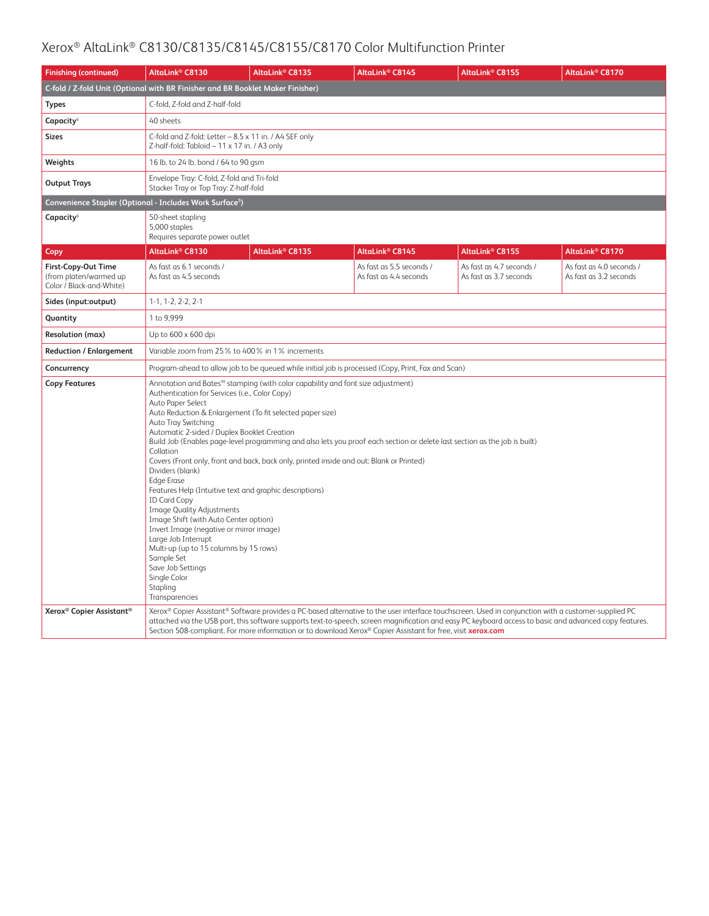| <b>Finishing (continued)</b>                                              | AltaLink <sup>®</sup> C8130                                                                                                                                                                                                                                                                                                                                                                                                                                                                                                                                                                                                                                                                                                                                                                                                                                                                                                                                                                                               | AltaLink <sup>®</sup> C8135                                                                                  | AltaLink <sup>®</sup> C8145                        | AltaLink <sup>®</sup> C8155                                                                                                                                                                                                                                                                                     | AltaLink® C8170                                    |  |  |  |
|---------------------------------------------------------------------------|---------------------------------------------------------------------------------------------------------------------------------------------------------------------------------------------------------------------------------------------------------------------------------------------------------------------------------------------------------------------------------------------------------------------------------------------------------------------------------------------------------------------------------------------------------------------------------------------------------------------------------------------------------------------------------------------------------------------------------------------------------------------------------------------------------------------------------------------------------------------------------------------------------------------------------------------------------------------------------------------------------------------------|--------------------------------------------------------------------------------------------------------------|----------------------------------------------------|-----------------------------------------------------------------------------------------------------------------------------------------------------------------------------------------------------------------------------------------------------------------------------------------------------------------|----------------------------------------------------|--|--|--|
|                                                                           |                                                                                                                                                                                                                                                                                                                                                                                                                                                                                                                                                                                                                                                                                                                                                                                                                                                                                                                                                                                                                           | C-fold / Z-fold Unit (Optional with BR Finisher and BR Booklet Maker Finisher)                               |                                                    |                                                                                                                                                                                                                                                                                                                 |                                                    |  |  |  |
| <b>Types</b>                                                              | C-fold, Z-fold and Z-half-fold                                                                                                                                                                                                                                                                                                                                                                                                                                                                                                                                                                                                                                                                                                                                                                                                                                                                                                                                                                                            |                                                                                                              |                                                    |                                                                                                                                                                                                                                                                                                                 |                                                    |  |  |  |
| Capacity <sup>6</sup>                                                     | 40 sheets                                                                                                                                                                                                                                                                                                                                                                                                                                                                                                                                                                                                                                                                                                                                                                                                                                                                                                                                                                                                                 |                                                                                                              |                                                    |                                                                                                                                                                                                                                                                                                                 |                                                    |  |  |  |
| Sizes                                                                     | C-fold and Z-fold: Letter - 8.5 x 11 in. / A4 SEF only<br>Z-half-fold: Tabloid - 11 x 17 in. / A3 only                                                                                                                                                                                                                                                                                                                                                                                                                                                                                                                                                                                                                                                                                                                                                                                                                                                                                                                    |                                                                                                              |                                                    |                                                                                                                                                                                                                                                                                                                 |                                                    |  |  |  |
| Weights                                                                   | 16 lb. to 24 lb. bond / 64 to 90 gsm                                                                                                                                                                                                                                                                                                                                                                                                                                                                                                                                                                                                                                                                                                                                                                                                                                                                                                                                                                                      |                                                                                                              |                                                    |                                                                                                                                                                                                                                                                                                                 |                                                    |  |  |  |
| <b>Output Trays</b>                                                       | Envelope Tray: C-fold, Z-fold and Tri-fold<br>Stacker Tray or Top Tray: Z-half-fold                                                                                                                                                                                                                                                                                                                                                                                                                                                                                                                                                                                                                                                                                                                                                                                                                                                                                                                                       |                                                                                                              |                                                    |                                                                                                                                                                                                                                                                                                                 |                                                    |  |  |  |
|                                                                           | Convenience Stapler (Optional - Includes Work Surface <sup>5</sup> )                                                                                                                                                                                                                                                                                                                                                                                                                                                                                                                                                                                                                                                                                                                                                                                                                                                                                                                                                      |                                                                                                              |                                                    |                                                                                                                                                                                                                                                                                                                 |                                                    |  |  |  |
| Capacity <sup>6</sup>                                                     | 50-sheet stapling<br>5,000 staples<br>Requires separate power outlet                                                                                                                                                                                                                                                                                                                                                                                                                                                                                                                                                                                                                                                                                                                                                                                                                                                                                                                                                      |                                                                                                              |                                                    |                                                                                                                                                                                                                                                                                                                 |                                                    |  |  |  |
| Copy                                                                      | AltaLink® C8130                                                                                                                                                                                                                                                                                                                                                                                                                                                                                                                                                                                                                                                                                                                                                                                                                                                                                                                                                                                                           | AltaLink <sup>®</sup> C8135                                                                                  | AltaLink <sup>®</sup> C8145                        | AltaLink <sup>®</sup> C8155                                                                                                                                                                                                                                                                                     | AltaLink® C8170                                    |  |  |  |
| First-Copy-Out Time<br>(from platen/warmed up<br>Color / Black-and-White) | As fast as 6.1 seconds /<br>As fast as 4.5 seconds                                                                                                                                                                                                                                                                                                                                                                                                                                                                                                                                                                                                                                                                                                                                                                                                                                                                                                                                                                        |                                                                                                              | As fast as 5.5 seconds /<br>As fast as 4.4 seconds | As fast as 4.7 seconds /<br>As fast as 3.7 seconds                                                                                                                                                                                                                                                              | As fast as 4.0 seconds /<br>As fast as 3.2 seconds |  |  |  |
| Sides (input:output)                                                      | $1-1, 1-2, 2-2, 2-1$                                                                                                                                                                                                                                                                                                                                                                                                                                                                                                                                                                                                                                                                                                                                                                                                                                                                                                                                                                                                      |                                                                                                              |                                                    |                                                                                                                                                                                                                                                                                                                 |                                                    |  |  |  |
| Quantity                                                                  | 1 to 9,999                                                                                                                                                                                                                                                                                                                                                                                                                                                                                                                                                                                                                                                                                                                                                                                                                                                                                                                                                                                                                |                                                                                                              |                                                    |                                                                                                                                                                                                                                                                                                                 |                                                    |  |  |  |
| <b>Resolution (max)</b>                                                   | Up to 600 x 600 dpi                                                                                                                                                                                                                                                                                                                                                                                                                                                                                                                                                                                                                                                                                                                                                                                                                                                                                                                                                                                                       |                                                                                                              |                                                    |                                                                                                                                                                                                                                                                                                                 |                                                    |  |  |  |
| <b>Reduction / Enlargement</b>                                            | Variable zoom from 25% to 400% in 1% increments                                                                                                                                                                                                                                                                                                                                                                                                                                                                                                                                                                                                                                                                                                                                                                                                                                                                                                                                                                           |                                                                                                              |                                                    |                                                                                                                                                                                                                                                                                                                 |                                                    |  |  |  |
| Concurrency                                                               |                                                                                                                                                                                                                                                                                                                                                                                                                                                                                                                                                                                                                                                                                                                                                                                                                                                                                                                                                                                                                           |                                                                                                              |                                                    |                                                                                                                                                                                                                                                                                                                 |                                                    |  |  |  |
| <b>Copy Features</b>                                                      | Program-ahead to allow job to be queued while initial job is processed (Copy, Print, Fax and Scan)<br>Annotation and Bates™ stamping (with color capability and font size adjustment)<br>Authentication for Services (i.e., Color Copy)<br>Auto Paper Select<br>Auto Reduction & Enlargement (To fit selected paper size)<br>Auto Tray Switching<br>Automatic 2-sided / Duplex Booklet Creation<br>Build Job (Enables page-level programming and also lets you proof each section or delete last section as the job is built)<br>Collation<br>Covers (Front only, front and back, back only, printed inside and out: Blank or Printed)<br>Dividers (blank)<br><b>Edge Erase</b><br>Features Help (Intuitive text and graphic descriptions)<br><b>ID Card Copy</b><br><b>Image Quality Adjustments</b><br>Image Shift (with Auto Center option)<br>Invert Image (negative or mirror image)<br>Large Job Interrupt<br>Multi-up (up to 15 columns by 15 rows)<br>Sample Set<br>Save Job Settings<br>Single Color<br>Stapling |                                                                                                              |                                                    |                                                                                                                                                                                                                                                                                                                 |                                                    |  |  |  |
| Xerox <sup>®</sup> Copier Assistant <sup>®</sup>                          |                                                                                                                                                                                                                                                                                                                                                                                                                                                                                                                                                                                                                                                                                                                                                                                                                                                                                                                                                                                                                           | Section 508-compliant. For more information or to download Xerox® Copier Assistant for free, visit xerox.com |                                                    | Xerox® Copier Assistant® Software provides a PC-based alternative to the user interface touchscreen. Used in conjunction with a customer-supplied PC<br>attached via the USB port, this software supports text-to-speech, screen magnification and easy PC keyboard access to basic and advanced copy features. |                                                    |  |  |  |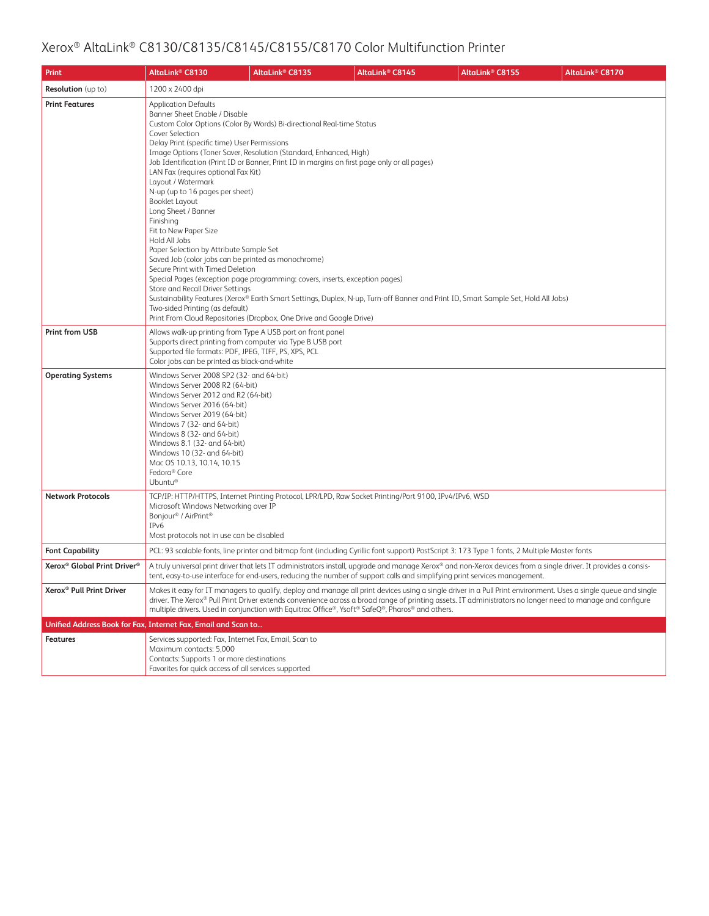| Print                                               | AltaLink <sup>®</sup> C8130                                                                                                                                                                                                                                                                                                                                                                                                                                                                                                                                                                                                                                                                                                                                                                                                                                                                                                                       | AltaLink® C8135 | AltaLink <sup>®</sup> C8145                                                                                                                                                                                                                                                                                                                                                                                                      | AltaLink <sup>®</sup> C8155 | AltaLink® C8170 |
|-----------------------------------------------------|---------------------------------------------------------------------------------------------------------------------------------------------------------------------------------------------------------------------------------------------------------------------------------------------------------------------------------------------------------------------------------------------------------------------------------------------------------------------------------------------------------------------------------------------------------------------------------------------------------------------------------------------------------------------------------------------------------------------------------------------------------------------------------------------------------------------------------------------------------------------------------------------------------------------------------------------------|-----------------|----------------------------------------------------------------------------------------------------------------------------------------------------------------------------------------------------------------------------------------------------------------------------------------------------------------------------------------------------------------------------------------------------------------------------------|-----------------------------|-----------------|
| <b>Resolution</b> (up to)                           | 1200 x 2400 dpi                                                                                                                                                                                                                                                                                                                                                                                                                                                                                                                                                                                                                                                                                                                                                                                                                                                                                                                                   |                 |                                                                                                                                                                                                                                                                                                                                                                                                                                  |                             |                 |
| <b>Print Features</b>                               | <b>Application Defaults</b><br>Banner Sheet Enable / Disable<br>Custom Color Options (Color By Words) Bi-directional Real-time Status<br>Cover Selection<br>Delay Print (specific time) User Permissions<br>Image Options (Toner Saver, Resolution (Standard, Enhanced, High)<br>Job Identification (Print ID or Banner, Print ID in margins on first page only or all pages)<br>LAN Fax (requires optional Fax Kit)<br>Layout / Watermark<br>N-up (up to 16 pages per sheet)<br>Booklet Layout<br>Long Sheet / Banner<br>Finishina<br>Fit to New Paper Size<br>Hold All Jobs<br>Paper Selection by Attribute Sample Set<br>Saved Job (color jobs can be printed as monochrome)<br>Secure Print with Timed Deletion<br>Special Pages (exception page programming: covers, inserts, exception pages)<br>Store and Recall Driver Settings<br>Two-sided Printing (as default)<br>Print From Cloud Repositories (Dropbox, One Drive and Google Drive) |                 | Sustainability Features (Xerox® Earth Smart Settings, Duplex, N-up, Turn-off Banner and Print ID, Smart Sample Set, Hold All Jobs)                                                                                                                                                                                                                                                                                               |                             |                 |
| <b>Print from USB</b>                               | Allows walk-up printing from Type A USB port on front panel<br>Supports direct printing from computer via Type B USB port<br>Supported file formats: PDF, JPEG, TIFF, PS, XPS, PCL<br>Color jobs can be printed as black-and-white                                                                                                                                                                                                                                                                                                                                                                                                                                                                                                                                                                                                                                                                                                                |                 |                                                                                                                                                                                                                                                                                                                                                                                                                                  |                             |                 |
| <b>Operating Systems</b>                            | Windows Server 2008 SP2 (32- and 64-bit)<br>Windows Server 2008 R2 (64-bit)<br>Windows Server 2012 and R2 (64-bit)<br>Windows Server 2016 (64-bit)<br>Windows Server 2019 (64-bit)<br>Windows 7 (32- and 64-bit)<br>Windows 8 (32- and 64-bit)<br>Windows 8.1 (32- and 64-bit)<br>Windows 10 (32- and 64-bit)<br>Mac OS 10.13, 10.14, 10.15<br>Fedora <sup>®</sup> Core<br>Ubuntu®                                                                                                                                                                                                                                                                                                                                                                                                                                                                                                                                                                |                 |                                                                                                                                                                                                                                                                                                                                                                                                                                  |                             |                 |
| <b>Network Protocols</b>                            | Microsoft Windows Networking over IP<br>Bonjour® / AirPrint®<br>IP <sub>v</sub> 6<br>Most protocols not in use can be disabled                                                                                                                                                                                                                                                                                                                                                                                                                                                                                                                                                                                                                                                                                                                                                                                                                    |                 | TCP/IP: HTTP/HTTPS, Internet Printing Protocol, LPR/LPD, Raw Socket Printing/Port 9100, IPv4/IPv6, WSD                                                                                                                                                                                                                                                                                                                           |                             |                 |
| <b>Font Capability</b>                              |                                                                                                                                                                                                                                                                                                                                                                                                                                                                                                                                                                                                                                                                                                                                                                                                                                                                                                                                                   |                 | PCL: 93 scalable fonts, line printer and bitmap font (including Cyrillic font support) PostScript 3: 173 Type 1 fonts, 2 Multiple Master fonts                                                                                                                                                                                                                                                                                   |                             |                 |
| Xerox <sup>®</sup> Global Print Driver <sup>®</sup> |                                                                                                                                                                                                                                                                                                                                                                                                                                                                                                                                                                                                                                                                                                                                                                                                                                                                                                                                                   |                 | A truly universal print driver that lets IT administrators install, upgrade and manage Xerox® and non-Xerox devices from a single driver. It provides a consis-<br>tent, easy-to-use interface for end-users, reducing the number of support calls and simplifying print services management.                                                                                                                                    |                             |                 |
| Xerox <sup>®</sup> Pull Print Driver                |                                                                                                                                                                                                                                                                                                                                                                                                                                                                                                                                                                                                                                                                                                                                                                                                                                                                                                                                                   |                 | Makes it easy for IT managers to qualify, deploy and manage all print devices using a single driver in a Pull Print environment. Uses a single queue and single<br>driver. The Xerox® Pull Print Driver extends convenience across a broad range of printing assets. IT administrators no longer need to manage and configure<br>multiple drivers. Used in conjunction with Equitrac Office®, Ysoft® SafeQ®, Pharos® and others. |                             |                 |
|                                                     | Unified Address Book for Fax, Internet Fax, Email and Scan to                                                                                                                                                                                                                                                                                                                                                                                                                                                                                                                                                                                                                                                                                                                                                                                                                                                                                     |                 |                                                                                                                                                                                                                                                                                                                                                                                                                                  |                             |                 |
| <b>Features</b>                                     | Services supported: Fax, Internet Fax, Email, Scan to<br>Maximum contacts: 5,000<br>Contacts: Supports 1 or more destinations<br>Favorites for quick access of all services supported                                                                                                                                                                                                                                                                                                                                                                                                                                                                                                                                                                                                                                                                                                                                                             |                 |                                                                                                                                                                                                                                                                                                                                                                                                                                  |                             |                 |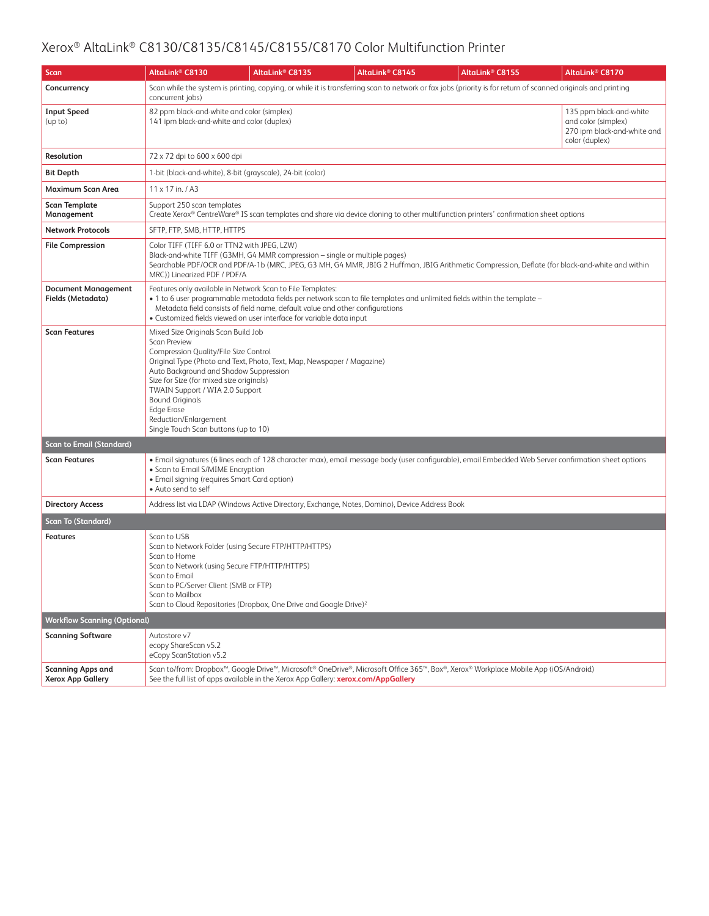| <b>Scan</b>                                          | AltaLink® C8130                                                                                                                                                                                                                                                                                                                              | AltaLink <sup>®</sup> C8135                                                                                                                                                                                                                                                                                   | AltaLink <sup>®</sup> C8145                                                                                              | AltaLink® C8155                                                                                                                                               | AltaLink® C8170                                                                                 |  |  |
|------------------------------------------------------|----------------------------------------------------------------------------------------------------------------------------------------------------------------------------------------------------------------------------------------------------------------------------------------------------------------------------------------------|---------------------------------------------------------------------------------------------------------------------------------------------------------------------------------------------------------------------------------------------------------------------------------------------------------------|--------------------------------------------------------------------------------------------------------------------------|---------------------------------------------------------------------------------------------------------------------------------------------------------------|-------------------------------------------------------------------------------------------------|--|--|
| Concurrency                                          | concurrent jobs)                                                                                                                                                                                                                                                                                                                             |                                                                                                                                                                                                                                                                                                               |                                                                                                                          | Scan while the system is printing, copying, or while it is transferring scan to network or fax jobs (priority is for return of scanned originals and printing |                                                                                                 |  |  |
| <b>Input Speed</b><br>(up to)                        | 82 ppm black-and-white and color (simplex)<br>141 ipm black-and-white and color (duplex)                                                                                                                                                                                                                                                     |                                                                                                                                                                                                                                                                                                               |                                                                                                                          |                                                                                                                                                               | 135 ppm black-and-white<br>and color (simplex)<br>270 ipm black-and-white and<br>color (duplex) |  |  |
| Resolution                                           | 72 x 72 dpi to 600 x 600 dpi                                                                                                                                                                                                                                                                                                                 |                                                                                                                                                                                                                                                                                                               |                                                                                                                          |                                                                                                                                                               |                                                                                                 |  |  |
| Bit Depth                                            |                                                                                                                                                                                                                                                                                                                                              | 1-bit (black-and-white), 8-bit (grayscale), 24-bit (color)                                                                                                                                                                                                                                                    |                                                                                                                          |                                                                                                                                                               |                                                                                                 |  |  |
| <b>Maximum Scan Area</b>                             | 11 x 17 in. / A3                                                                                                                                                                                                                                                                                                                             |                                                                                                                                                                                                                                                                                                               |                                                                                                                          |                                                                                                                                                               |                                                                                                 |  |  |
| <b>Scan Template</b><br>Management                   | Support 250 scan templates                                                                                                                                                                                                                                                                                                                   |                                                                                                                                                                                                                                                                                                               |                                                                                                                          | Create Xerox® CentreWare® IS scan templates and share via device cloning to other multifunction printers' confirmation sheet options                          |                                                                                                 |  |  |
| <b>Network Protocols</b>                             | SFTP, FTP, SMB, HTTP, HTTPS                                                                                                                                                                                                                                                                                                                  |                                                                                                                                                                                                                                                                                                               |                                                                                                                          |                                                                                                                                                               |                                                                                                 |  |  |
| <b>File Compression</b>                              |                                                                                                                                                                                                                                                                                                                                              | Color TIFF (TIFF 6.0 or TTN2 with JPEG, LZW)<br>Black-and-white TIFF (G3MH, G4 MMR compression - single or multiple pages)<br>Searchable PDF/OCR and PDF/A-1b (MRC, JPEG, G3 MH, G4 MMR, JBIG 2 Huffman, JBIG Arithmetic Compression, Deflate (for black-and-white and within<br>MRC)) Linearized PDF / PDF/A |                                                                                                                          |                                                                                                                                                               |                                                                                                 |  |  |
| <b>Document Management</b><br>Fields (Metadata)      |                                                                                                                                                                                                                                                                                                                                              | Features only available in Network Scan to File Templates:<br>Metadata field consists of field name, default value and other configurations<br>· Customized fields viewed on user interface for variable data input                                                                                           | • 1 to 6 user programmable metadata fields per network scan to file templates and unlimited fields within the template - |                                                                                                                                                               |                                                                                                 |  |  |
| <b>Scan Features</b>                                 | Mixed Size Originals Scan Build Job<br><b>Scan Preview</b><br>Compression Quality/File Size Control<br>Auto Background and Shadow Suppression<br>Size for Size (for mixed size originals)<br>TWAIN Support / WIA 2.0 Support<br><b>Bound Originals</b><br><b>Edge Erase</b><br>Reduction/Enlargement<br>Single Touch Scan buttons (up to 10) | Original Type (Photo and Text, Photo, Text, Map, Newspaper / Magazine)                                                                                                                                                                                                                                        |                                                                                                                          |                                                                                                                                                               |                                                                                                 |  |  |
| <b>Scan to Email (Standard)</b>                      |                                                                                                                                                                                                                                                                                                                                              |                                                                                                                                                                                                                                                                                                               |                                                                                                                          |                                                                                                                                                               |                                                                                                 |  |  |
| <b>Scan Features</b>                                 | • Scan to Email S/MIME Encryption<br>• Email signing (requires Smart Card option)<br>• Auto send to self                                                                                                                                                                                                                                     |                                                                                                                                                                                                                                                                                                               |                                                                                                                          | • Email signatures (6 lines each of 128 character max), email message body (user configurable), email Embedded Web Server confirmation sheet options          |                                                                                                 |  |  |
| <b>Directory Access</b>                              |                                                                                                                                                                                                                                                                                                                                              |                                                                                                                                                                                                                                                                                                               | Address list via LDAP (Windows Active Directory, Exchange, Notes, Domino), Device Address Book                           |                                                                                                                                                               |                                                                                                 |  |  |
| <b>Scan To (Standard)</b>                            |                                                                                                                                                                                                                                                                                                                                              |                                                                                                                                                                                                                                                                                                               |                                                                                                                          |                                                                                                                                                               |                                                                                                 |  |  |
| <b>Features</b>                                      | Scan to USB<br>Scan to Home<br>Scan to Network (using Secure FTP/HTTP/HTTPS)<br>Scan to Email<br>Scan to PC/Server Client (SMB or FTP)<br>Scan to Mailbox                                                                                                                                                                                    | Scan to Network Folder (using Secure FTP/HTTP/HTTPS)<br>Scan to Cloud Repositories (Dropbox, One Drive and Google Drive) <sup>2</sup>                                                                                                                                                                         |                                                                                                                          |                                                                                                                                                               |                                                                                                 |  |  |
| <b>Workflow Scanning (Optional)</b>                  |                                                                                                                                                                                                                                                                                                                                              |                                                                                                                                                                                                                                                                                                               |                                                                                                                          |                                                                                                                                                               |                                                                                                 |  |  |
| <b>Scanning Software</b>                             | Autostore v7<br>ecopy ShareScan v5.2<br>eCopy ScanStation v5.2                                                                                                                                                                                                                                                                               |                                                                                                                                                                                                                                                                                                               |                                                                                                                          |                                                                                                                                                               |                                                                                                 |  |  |
| <b>Scanning Apps and</b><br><b>Xerox App Gallery</b> |                                                                                                                                                                                                                                                                                                                                              | See the full list of apps available in the Xerox App Gallery: xerox.com/AppGallery                                                                                                                                                                                                                            |                                                                                                                          | Scan to/from: Dropbox <sup>™</sup> , Google Drive™, Microsoft® OneDrive®, Microsoft Office 365™, Box®, Xerox® Workplace Mobile App (iOS/Android)              |                                                                                                 |  |  |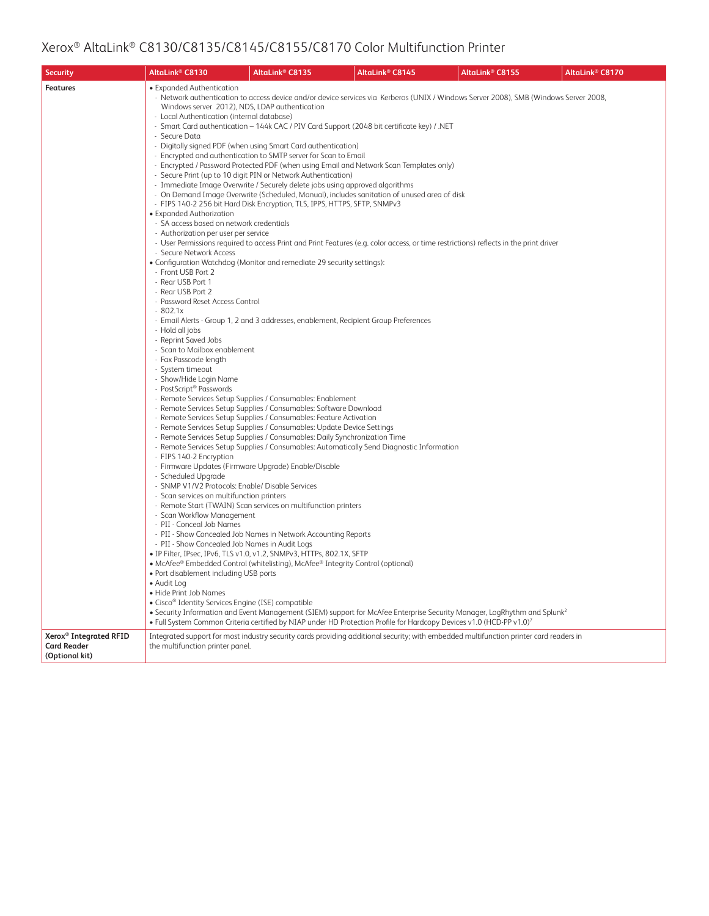| <b>Security</b>                                                            | AltaLink <sup>®</sup> C8130                                                                                                                                                                                                                                                                                                                                                                                                                                                                                                                                                                                                                                                                                                                                                                                                                                                                                                                                                                                                                                     | AltaLink® C8135                                                                                                                                                                                                                                                                                                                                                                                                                                                                                                                                                                                                                                                                                                                                                                                                                                                                                                                                                                                                                                                                                                                                                                                   | AltaLink <sup>®</sup> C8145                                                                                                                                                                                                                                                                                                                                                                                                                                                                                                                                                                                                                                                                                                                                                                                                                                                                                                                      | AltaLink <sup>®</sup> C8155 | AltaLink® C8170 |
|----------------------------------------------------------------------------|-----------------------------------------------------------------------------------------------------------------------------------------------------------------------------------------------------------------------------------------------------------------------------------------------------------------------------------------------------------------------------------------------------------------------------------------------------------------------------------------------------------------------------------------------------------------------------------------------------------------------------------------------------------------------------------------------------------------------------------------------------------------------------------------------------------------------------------------------------------------------------------------------------------------------------------------------------------------------------------------------------------------------------------------------------------------|---------------------------------------------------------------------------------------------------------------------------------------------------------------------------------------------------------------------------------------------------------------------------------------------------------------------------------------------------------------------------------------------------------------------------------------------------------------------------------------------------------------------------------------------------------------------------------------------------------------------------------------------------------------------------------------------------------------------------------------------------------------------------------------------------------------------------------------------------------------------------------------------------------------------------------------------------------------------------------------------------------------------------------------------------------------------------------------------------------------------------------------------------------------------------------------------------|--------------------------------------------------------------------------------------------------------------------------------------------------------------------------------------------------------------------------------------------------------------------------------------------------------------------------------------------------------------------------------------------------------------------------------------------------------------------------------------------------------------------------------------------------------------------------------------------------------------------------------------------------------------------------------------------------------------------------------------------------------------------------------------------------------------------------------------------------------------------------------------------------------------------------------------------------|-----------------------------|-----------------|
| <b>Features</b>                                                            | • Expanded Authentication<br>Windows server 2012), NDS, LDAP authentication<br>- Local Authentication (internal database)<br>- Secure Data<br>• Expanded Authorization<br>- SA access based on network credentials<br>- Authorization per user per service<br>- Secure Network Access<br>- Front USB Port 2<br>- Rear USB Port 1<br>- Rear USB Port 2<br>- Password Reset Access Control<br>$-802.1x$<br>- Hold all jobs<br>- Reprint Saved Jobs<br>- Scan to Mailbox enablement<br>- Fax Passcode length<br>- System timeout<br>- Show/Hide Login Name<br>- PostScript® Passwords<br>- FIPS 140-2 Encryption<br>- Firmware Updates (Firmware Upgrade) Enable/Disable<br>- Scheduled Upgrade<br>- SNMP V1/V2 Protocols: Enable/ Disable Services<br>- Scan services on multifunction printers<br>- Scan Workflow Management<br>- PII - Conceal Job Names<br>- PII - Show Concealed Job Names in Audit Logs<br>• Port disablement including USB ports<br>· Audit Log<br>• Hide Print Job Names<br>• Cisco <sup>®</sup> Identity Services Engine (ISE) compatible | - Digitally signed PDF (when using Smart Card authentication)<br>- Encrypted and authentication to SMTP server for Scan to Email<br>- Secure Print (up to 10 digit PIN or Network Authentication)<br>- Immediate Image Overwrite / Securely delete jobs using approved algorithms<br>- FIPS 140-2 256 bit Hard Disk Encryption, TLS, IPPS, HTTPS, SFTP, SNMPv3<br>• Configuration Watchdog (Monitor and remediate 29 security settings):<br>- Email Alerts - Group 1, 2 and 3 addresses, enablement, Recipient Group Preferences<br>- Remote Services Setup Supplies / Consumables: Enablement<br>- Remote Services Setup Supplies / Consumables: Software Download<br>- Remote Services Setup Supplies / Consumables: Feature Activation<br>- Remote Services Setup Supplies / Consumables: Update Device Settings<br>- Remote Services Setup Supplies / Consumables: Daily Synchronization Time<br>- Remote Start (TWAIN) Scan services on multifunction printers<br>- PII - Show Concealed Job Names in Network Accounting Reports<br>· IP Filter, IPsec, IPv6, TLS v1.0, v1.2, SNMPv3, HTTPs, 802.1X, SFTP<br>• McAfee® Embedded Control (whitelisting), McAfee® Integrity Control (optional) | - Network authentication to access device and/or device services via Kerberos (UNIX / Windows Server 2008), SMB (Windows Server 2008,<br>- Smart Card authentication - 144k CAC / PIV Card Support (2048 bit certificate key) / .NET<br>- Encrypted / Password Protected PDF (when using Email and Network Scan Templates only)<br>- On Demand Image Overwrite (Scheduled, Manual), includes sanitation of unused area of disk<br>- User Permissions required to access Print and Print Features (e.g. color access, or time restrictions) reflects in the print driver<br>- Remote Services Setup Supplies / Consumables: Automatically Send Diagnostic Information<br>• Security Information and Event Management (SIEM) support for McAfee Enterprise Security Manager, LogRhythm and Splunk <sup>2</sup><br>• Full System Common Criteria certified by NIAP under HD Protection Profile for Hardcopy Devices v1.0 (HCD-PP v1.0) <sup>7</sup> |                             |                 |
| Xerox <sup>®</sup> Integrated RFID<br><b>Card Reader</b><br>(Optional kit) | the multifunction printer panel.                                                                                                                                                                                                                                                                                                                                                                                                                                                                                                                                                                                                                                                                                                                                                                                                                                                                                                                                                                                                                                |                                                                                                                                                                                                                                                                                                                                                                                                                                                                                                                                                                                                                                                                                                                                                                                                                                                                                                                                                                                                                                                                                                                                                                                                   | Integrated support for most industry security cards providing additional security; with embedded multifunction printer card readers in                                                                                                                                                                                                                                                                                                                                                                                                                                                                                                                                                                                                                                                                                                                                                                                                           |                             |                 |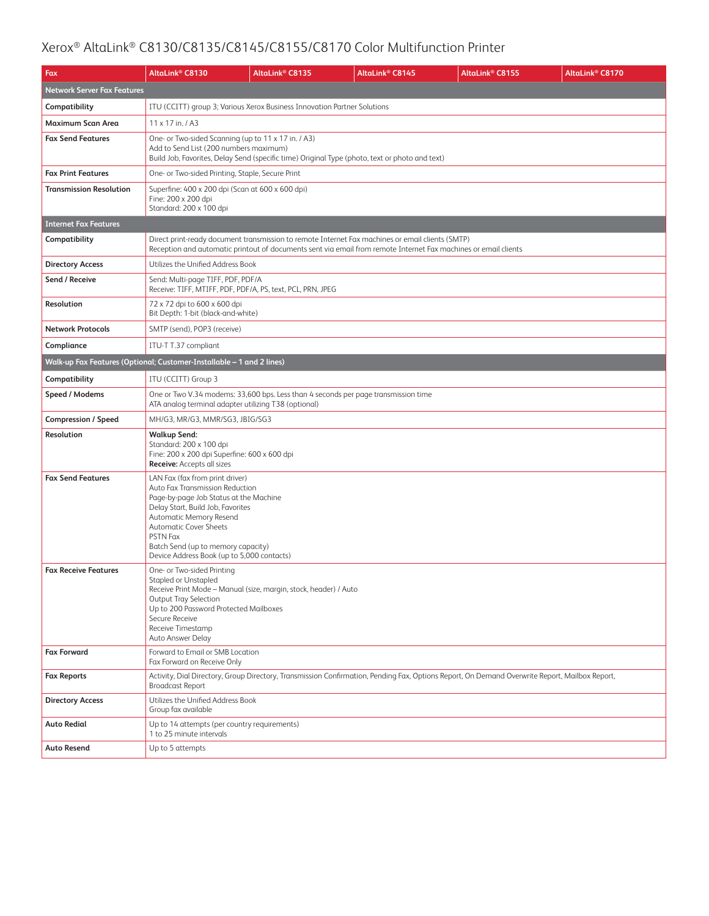| Fax                                | AltaLink® C8130                                                                                                                                                                                                                                                                                               | AltaLink <sup>®</sup> C8135                                                                                                                                                                                         | AltaLink <sup>®</sup> C8145 | AltaLink <sup>®</sup> C8155                                                                                                                    | AltaLink <sup>®</sup> C8170 |  |  |  |
|------------------------------------|---------------------------------------------------------------------------------------------------------------------------------------------------------------------------------------------------------------------------------------------------------------------------------------------------------------|---------------------------------------------------------------------------------------------------------------------------------------------------------------------------------------------------------------------|-----------------------------|------------------------------------------------------------------------------------------------------------------------------------------------|-----------------------------|--|--|--|
| <b>Network Server Fax Features</b> |                                                                                                                                                                                                                                                                                                               |                                                                                                                                                                                                                     |                             |                                                                                                                                                |                             |  |  |  |
| Compatibility                      |                                                                                                                                                                                                                                                                                                               | ITU (CCITT) group 3; Various Xerox Business Innovation Partner Solutions                                                                                                                                            |                             |                                                                                                                                                |                             |  |  |  |
| Maximum Scan Area                  | 11 x 17 in. / A3                                                                                                                                                                                                                                                                                              |                                                                                                                                                                                                                     |                             |                                                                                                                                                |                             |  |  |  |
| <b>Fax Send Features</b>           | One- or Two-sided Scanning (up to 11 x 17 in. / A3)<br>Add to Send List (200 numbers maximum)                                                                                                                                                                                                                 | Build Job, Favorites, Delay Send (specific time) Original Type (photo, text or photo and text)                                                                                                                      |                             |                                                                                                                                                |                             |  |  |  |
| <b>Fax Print Features</b>          | One- or Two-sided Printing, Staple, Secure Print                                                                                                                                                                                                                                                              |                                                                                                                                                                                                                     |                             |                                                                                                                                                |                             |  |  |  |
| <b>Transmission Resolution</b>     | Superfine: 400 x 200 dpi (Scan at 600 x 600 dpi)<br>Fine: 200 x 200 dpi<br>Standard: 200 x 100 dpi                                                                                                                                                                                                            |                                                                                                                                                                                                                     |                             |                                                                                                                                                |                             |  |  |  |
| <b>Internet Fax Features</b>       |                                                                                                                                                                                                                                                                                                               |                                                                                                                                                                                                                     |                             |                                                                                                                                                |                             |  |  |  |
| Compatibility                      |                                                                                                                                                                                                                                                                                                               | Direct print-ready document transmission to remote Internet Fax machines or email clients (SMTP)<br>Reception and automatic printout of documents sent via email from remote Internet Fax machines or email clients |                             |                                                                                                                                                |                             |  |  |  |
| <b>Directory Access</b>            | Utilizes the Unified Address Book                                                                                                                                                                                                                                                                             |                                                                                                                                                                                                                     |                             |                                                                                                                                                |                             |  |  |  |
| Send / Receive                     | Send: Multi-page TIFF, PDF, PDF/A<br>Receive: TIFF, MTIFF, PDF, PDF/A, PS, text, PCL, PRN, JPEG                                                                                                                                                                                                               |                                                                                                                                                                                                                     |                             |                                                                                                                                                |                             |  |  |  |
| Resolution                         | 72 x 72 dpi to 600 x 600 dpi<br>Bit Depth: 1-bit (black-and-white)                                                                                                                                                                                                                                            |                                                                                                                                                                                                                     |                             |                                                                                                                                                |                             |  |  |  |
| <b>Network Protocols</b>           | SMTP (send), POP3 (receive)                                                                                                                                                                                                                                                                                   |                                                                                                                                                                                                                     |                             |                                                                                                                                                |                             |  |  |  |
| Compliance                         | ITU-T T.37 compliant                                                                                                                                                                                                                                                                                          |                                                                                                                                                                                                                     |                             |                                                                                                                                                |                             |  |  |  |
|                                    | Walk-up Fax Features (Optional; Customer-Installable - 1 and 2 lines)                                                                                                                                                                                                                                         |                                                                                                                                                                                                                     |                             |                                                                                                                                                |                             |  |  |  |
| Compatibility                      | ITU (CCITT) Group 3                                                                                                                                                                                                                                                                                           |                                                                                                                                                                                                                     |                             |                                                                                                                                                |                             |  |  |  |
| Speed / Modems                     | ATA analog terminal adapter utilizing T38 (optional)                                                                                                                                                                                                                                                          | One or Two V.34 modems: 33,600 bps. Less than 4 seconds per page transmission time                                                                                                                                  |                             |                                                                                                                                                |                             |  |  |  |
| Compression / Speed                | MH/G3, MR/G3, MMR/SG3, JBIG/SG3                                                                                                                                                                                                                                                                               |                                                                                                                                                                                                                     |                             |                                                                                                                                                |                             |  |  |  |
| Resolution                         | <b>Walkup Send:</b><br>Standard: 200 x 100 dpi<br>Fine: 200 x 200 dpi Superfine: 600 x 600 dpi<br><b>Receive:</b> Accepts all sizes                                                                                                                                                                           |                                                                                                                                                                                                                     |                             |                                                                                                                                                |                             |  |  |  |
| <b>Fax Send Features</b>           | LAN Fax (fax from print driver)<br>Auto Fax Transmission Reduction<br>Page-by-page Job Status at the Machine<br>Delay Start, Build Job, Favorites<br>Automatic Memory Resend<br><b>Automatic Cover Sheets</b><br>PSTN Fax<br>Batch Send (up to memory capacity)<br>Device Address Book (up to 5,000 contacts) |                                                                                                                                                                                                                     |                             |                                                                                                                                                |                             |  |  |  |
| <b>Fax Receive Features</b>        | One- or Two-sided Printing<br>Stapled or Unstapled<br>Receive Print Mode - Manual (size, margin, stock, header) / Auto<br><b>Output Tray Selection</b><br>Up to 200 Password Protected Mailboxes<br>Secure Receive<br>Receive Timestamp<br>Auto Answer Delay                                                  |                                                                                                                                                                                                                     |                             |                                                                                                                                                |                             |  |  |  |
| <b>Fax Forward</b>                 | Forward to Email or SMB Location<br>Fax Forward on Receive Only                                                                                                                                                                                                                                               |                                                                                                                                                                                                                     |                             |                                                                                                                                                |                             |  |  |  |
| <b>Fax Reports</b>                 | <b>Broadcast Report</b>                                                                                                                                                                                                                                                                                       |                                                                                                                                                                                                                     |                             | Activity, Dial Directory, Group Directory, Transmission Confirmation, Pending Fax, Options Report, On Demand Overwrite Report, Mailbox Report, |                             |  |  |  |
| <b>Directory Access</b>            | Utilizes the Unified Address Book<br>Group fax available                                                                                                                                                                                                                                                      |                                                                                                                                                                                                                     |                             |                                                                                                                                                |                             |  |  |  |
| <b>Auto Redial</b>                 | Up to 14 attempts (per country requirements)<br>1 to 25 minute intervals                                                                                                                                                                                                                                      |                                                                                                                                                                                                                     |                             |                                                                                                                                                |                             |  |  |  |
| <b>Auto Resend</b>                 | Up to 5 attempts                                                                                                                                                                                                                                                                                              |                                                                                                                                                                                                                     |                             |                                                                                                                                                |                             |  |  |  |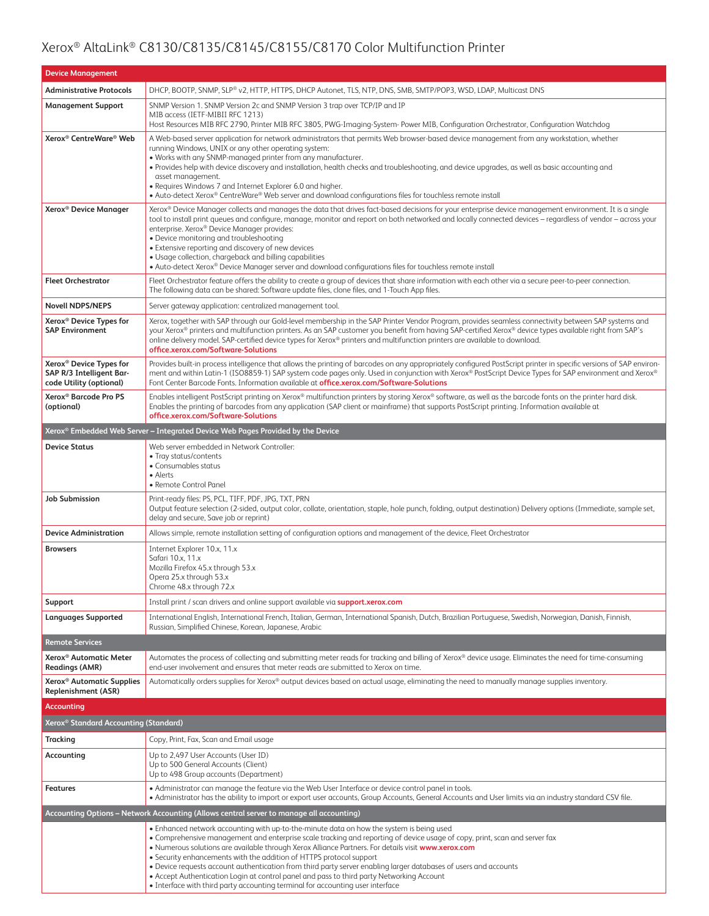| <b>Device Management</b>                                                                   |                                                                                                                                                                                                                                                                                                                                                                                                                                                                                                                                                                                                                                                                                                         |  |  |  |
|--------------------------------------------------------------------------------------------|---------------------------------------------------------------------------------------------------------------------------------------------------------------------------------------------------------------------------------------------------------------------------------------------------------------------------------------------------------------------------------------------------------------------------------------------------------------------------------------------------------------------------------------------------------------------------------------------------------------------------------------------------------------------------------------------------------|--|--|--|
| <b>Administrative Protocols</b>                                                            | DHCP, BOOTP, SNMP, SLP® v2, HTTP, HTTPS, DHCP Autonet, TLS, NTP, DNS, SMB, SMTP/POP3, WSD, LDAP, Multicast DNS                                                                                                                                                                                                                                                                                                                                                                                                                                                                                                                                                                                          |  |  |  |
| <b>Management Support</b>                                                                  | SNMP Version 1. SNMP Version 2c and SNMP Version 3 trap over TCP/IP and IP<br>MIB access (IETF-MIBII RFC 1213)<br>Host Resources MIB RFC 2790, Printer MIB RFC 3805, PWG-Imaging-System- Power MIB, Configuration Orchestrator, Configuration Watchdog                                                                                                                                                                                                                                                                                                                                                                                                                                                  |  |  |  |
| Xerox <sup>®</sup> CentreWare <sup>®</sup> Web                                             | A Web-based server application for network administrators that permits Web browser-based device management from any workstation, whether<br>running Windows, UNIX or any other operating system:<br>. Works with any SNMP-managed printer from any manufacturer.<br>• Provides help with device discovery and installation, health checks and troubleshooting, and device upgrades, as well as basic accounting and<br>asset management.<br>. Requires Windows 7 and Internet Explorer 6.0 and higher.<br>• Auto-detect Xerox® CentreWare® Web server and download configurations files for touchless remote install                                                                                    |  |  |  |
| Xerox <sup>®</sup> Device Manager                                                          | Xerox® Device Manager collects and manages the data that drives fact-based decisions for your enterprise device management environment. It is a single<br>tool to install print queues and configure, manage, monitor and report on both networked and locally connected devices - regardless of vendor - across your<br>enterprise. Xerox® Device Manager provides:<br>• Device monitoring and troubleshooting<br>• Extensive reporting and discovery of new devices<br>• Usage collection, chargeback and billing capabilities<br>• Auto-detect Xerox® Device Manager server and download configurations files for touchless remote install                                                           |  |  |  |
| <b>Fleet Orchestrator</b>                                                                  | Fleet Orchestrator feature offers the ability to create a group of devices that share information with each other via a secure peer-to-peer connection.<br>The following data can be shared: Software update files, clone files, and 1-Touch App files.                                                                                                                                                                                                                                                                                                                                                                                                                                                 |  |  |  |
| <b>Novell NDPS/NEPS</b>                                                                    | Server gateway application: centralized management tool.                                                                                                                                                                                                                                                                                                                                                                                                                                                                                                                                                                                                                                                |  |  |  |
| Xerox <sup>®</sup> Device Types for<br><b>SAP Environment</b>                              | Xerox, together with SAP through our Gold-level membership in the SAP Printer Vendor Program, provides seamless connectivity between SAP systems and<br>your Xerox® printers and multifunction printers. As an SAP customer you benefit from having SAP-certified Xerox® device types available right from SAP's<br>online delivery model. SAP-certified device types for Xerox® printers and multifunction printers are available to download.<br>office.xerox.com/Software-Solutions                                                                                                                                                                                                                  |  |  |  |
| Xerox <sup>®</sup> Device Types for<br>SAP R/3 Intelligent Bar-<br>code Utility (optional) | Provides built-in process intelligence that allows the printing of barcodes on any appropriately configured PostScript printer in specific versions of SAP environ-<br>ment and within Latin-1 (ISO8859-1) SAP system code pages only. Used in conjunction with Xerox® PostScript Device Types for SAP environment and Xerox®<br>Font Center Barcode Fonts. Information available at office.xerox.com/Software-Solutions                                                                                                                                                                                                                                                                                |  |  |  |
| Xerox <sup>®</sup> Barcode Pro PS<br>(optional)                                            | Enables intelligent PostScript printing on Xerox® multifunction printers by storing Xerox® software, as well as the barcode fonts on the printer hard disk.<br>Enables the printing of barcodes from any application (SAP client or mainframe) that supports PostScript printing. Information available at<br>office.xerox.com/Software-Solutions                                                                                                                                                                                                                                                                                                                                                       |  |  |  |
| Xerox® Embedded Web Server – Integrated Device Web Pages Provided by the Device            |                                                                                                                                                                                                                                                                                                                                                                                                                                                                                                                                                                                                                                                                                                         |  |  |  |
| <b>Device Status</b>                                                                       | Web server embedded in Network Controller:<br>• Tray status/contents<br>• Consumables status<br>• Alerts<br>• Remote Control Panel                                                                                                                                                                                                                                                                                                                                                                                                                                                                                                                                                                      |  |  |  |
| <b>Job Submission</b>                                                                      | Print-ready files: PS, PCL, TIFF, PDF, JPG, TXT, PRN<br>Output feature selection (2-sided, output color, collate, orientation, staple, hole punch, folding, output destination) Delivery options (Immediate, sample set,<br>delay and secure, Save job or reprint)                                                                                                                                                                                                                                                                                                                                                                                                                                      |  |  |  |
| <b>Device Administration</b>                                                               | Allows simple, remote installation setting of configuration options and management of the device, Fleet Orchestrator                                                                                                                                                                                                                                                                                                                                                                                                                                                                                                                                                                                    |  |  |  |
| <b>Browsers</b>                                                                            | Internet Explorer 10.x, 11.x<br>Safari 10.x, 11.x<br>Mozilla Firefox 45.x through 53.x<br>Opera 25.x through 53.x<br>Chrome 48.x through 72.x                                                                                                                                                                                                                                                                                                                                                                                                                                                                                                                                                           |  |  |  |
| Support                                                                                    | Install print / scan drivers and online support available via support.xerox.com                                                                                                                                                                                                                                                                                                                                                                                                                                                                                                                                                                                                                         |  |  |  |
| <b>Languages Supported</b>                                                                 | International English, International French, Italian, German, International Spanish, Dutch, Brazilian Portuguese, Swedish, Norwegian, Danish, Finnish,<br>Russian, Simplified Chinese, Korean, Japanese, Arabic                                                                                                                                                                                                                                                                                                                                                                                                                                                                                         |  |  |  |
| <b>Remote Services</b>                                                                     |                                                                                                                                                                                                                                                                                                                                                                                                                                                                                                                                                                                                                                                                                                         |  |  |  |
| Xerox <sup>®</sup> Automatic Meter<br><b>Readings (AMR)</b>                                | Automates the process of collecting and submitting meter reads for tracking and billing of Xerox® device usage. Eliminates the need for time-consuming<br>end-user involvement and ensures that meter reads are submitted to Xerox on time.                                                                                                                                                                                                                                                                                                                                                                                                                                                             |  |  |  |
| Xerox <sup>®</sup> Automatic Supplies<br>Replenishment (ASR)                               | Automatically orders supplies for Xerox® output devices based on actual usage, eliminating the need to manually manage supplies inventory.                                                                                                                                                                                                                                                                                                                                                                                                                                                                                                                                                              |  |  |  |
| <b>Accounting</b>                                                                          |                                                                                                                                                                                                                                                                                                                                                                                                                                                                                                                                                                                                                                                                                                         |  |  |  |
| Xerox <sup>®</sup> Standard Accounting (Standard)                                          |                                                                                                                                                                                                                                                                                                                                                                                                                                                                                                                                                                                                                                                                                                         |  |  |  |
| <b>Tracking</b>                                                                            | Copy, Print, Fax, Scan and Email usage                                                                                                                                                                                                                                                                                                                                                                                                                                                                                                                                                                                                                                                                  |  |  |  |
| Accounting                                                                                 | Up to 2,497 User Accounts (User ID)<br>Up to 500 General Accounts (Client)<br>Up to 498 Group accounts (Department)                                                                                                                                                                                                                                                                                                                                                                                                                                                                                                                                                                                     |  |  |  |
| <b>Features</b>                                                                            | • Administrator can manage the feature via the Web User Interface or device control panel in tools.<br>. Administrator has the ability to import or export user accounts, Group Accounts, General Accounts and User limits via an industry standard CSV file.                                                                                                                                                                                                                                                                                                                                                                                                                                           |  |  |  |
| Accounting Options – Network Accounting (Allows central server to manage all accounting)   |                                                                                                                                                                                                                                                                                                                                                                                                                                                                                                                                                                                                                                                                                                         |  |  |  |
|                                                                                            | . Enhanced network accounting with up-to-the-minute data on how the system is being used<br>• Comprehensive management and enterprise scale tracking and reporting of device usage of copy, print, scan and server fax<br>. Numerous solutions are available through Xerox Alliance Partners. For details visit www.xerox.com<br>• Security enhancements with the addition of HTTPS protocol support<br>. Device requests account authentication from third party server enabling larger databases of users and accounts<br>• Accept Authentication Login at control panel and pass to third party Networking Account<br>• Interface with third party accounting terminal for accounting user interface |  |  |  |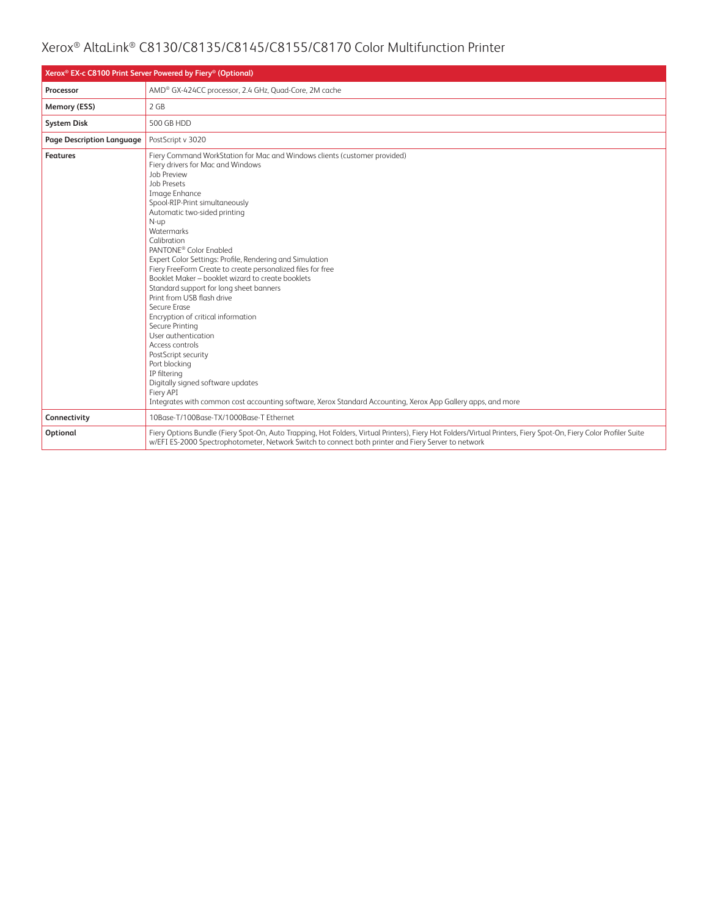| Xerox <sup>®</sup> EX-c C8100 Print Server Powered by Fiery <sup>®</sup> (Optional) |                                                                                                                                                                                                                                                                                                                                                                                                                                                                                                                                                                                                                                                                                                                                                                                                                                                                                                                                |  |  |
|-------------------------------------------------------------------------------------|--------------------------------------------------------------------------------------------------------------------------------------------------------------------------------------------------------------------------------------------------------------------------------------------------------------------------------------------------------------------------------------------------------------------------------------------------------------------------------------------------------------------------------------------------------------------------------------------------------------------------------------------------------------------------------------------------------------------------------------------------------------------------------------------------------------------------------------------------------------------------------------------------------------------------------|--|--|
| Processor                                                                           | AMD® GX-424CC processor, 2.4 GHz, Quad-Core, 2M cache                                                                                                                                                                                                                                                                                                                                                                                                                                                                                                                                                                                                                                                                                                                                                                                                                                                                          |  |  |
| Memory (ESS)                                                                        | 2 GB                                                                                                                                                                                                                                                                                                                                                                                                                                                                                                                                                                                                                                                                                                                                                                                                                                                                                                                           |  |  |
| <b>System Disk</b>                                                                  | 500 GB HDD                                                                                                                                                                                                                                                                                                                                                                                                                                                                                                                                                                                                                                                                                                                                                                                                                                                                                                                     |  |  |
| Page Description Language                                                           | PostScript v 3020                                                                                                                                                                                                                                                                                                                                                                                                                                                                                                                                                                                                                                                                                                                                                                                                                                                                                                              |  |  |
| <b>Features</b>                                                                     | Fiery Command WorkStation for Mac and Windows clients (customer provided)<br>Fiery drivers for Mac and Windows<br>Job Preview<br><b>Job Presets</b><br>Image Enhance<br>Spool-RIP-Print simultaneously<br>Automatic two-sided printing<br>N-up<br><b>Watermarks</b><br>Calibration<br>PANTONE <sup>®</sup> Color Enabled<br>Expert Color Settings: Profile, Rendering and Simulation<br>Fiery FreeForm Create to create personalized files for free<br>Booklet Maker - booklet wizard to create booklets<br>Standard support for long sheet banners<br>Print from USB flash drive<br>Secure Frase<br>Encryption of critical information<br>Secure Printing<br>User authentication<br>Access controls<br>PostScript security<br>Port blocking<br>IP filtering<br>Digitally signed software updates<br>Fiery API<br>Integrates with common cost accounting software, Xerox Standard Accounting, Xerox App Gallery apps, and more |  |  |
| Connectivity                                                                        | 10Base-T/100Base-TX/1000Base-T Ethernet                                                                                                                                                                                                                                                                                                                                                                                                                                                                                                                                                                                                                                                                                                                                                                                                                                                                                        |  |  |
| Optional                                                                            | Fiery Options Bundle (Fiery Spot-On, Auto Trapping, Hot Folders, Virtual Printers), Fiery Hot Folders/Virtual Printers, Fiery Spot-On, Fiery Color Profiler Suite<br>w/EFI ES-2000 Spectrophotometer, Network Switch to connect both printer and Fiery Server to network                                                                                                                                                                                                                                                                                                                                                                                                                                                                                                                                                                                                                                                       |  |  |